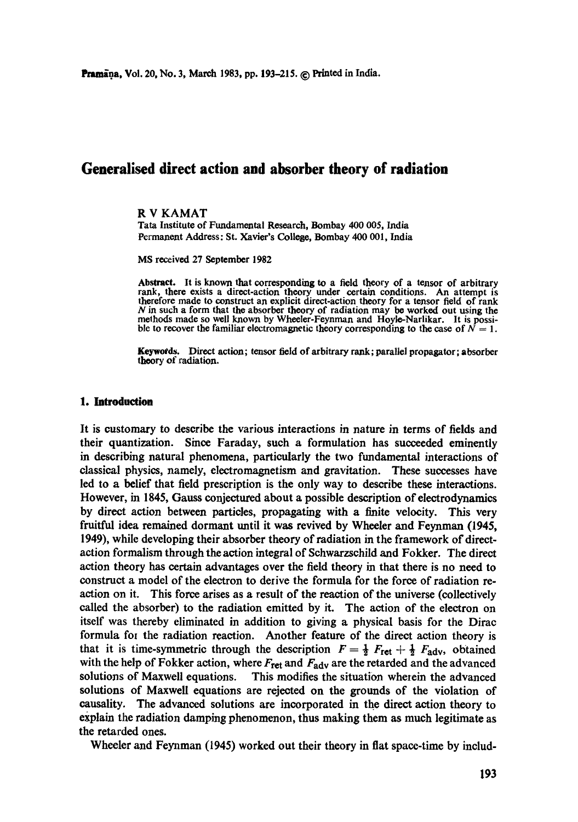# **Generalised direct action and absorber theory of radiation**

#### R V KAMAT

Tara Institute of Fundamental Research, Bombay 400 005, India Permanent Address: St. Xavier's College, Bombay 400 001, India

MS received 27 September 1982

Abstract. It is known that corresponding to a field theory of a tensor of arbitrary rank, there exists a direct-action theory under certain conditions. An attempt is therefore made to construct an explicit direct-action theory for a tensor field of rank N in such a form that the absorber theory of radiation may be worked out using the methods made so well known by Wheeler-Feynman and Hoyle-Narlikar. It is possible to recover the familiar electromagnetic theory corresponding to the case of  $N = 1$ .

**Keywotds. Direct action;** tensor field of arbitrary rank; parallel propagator; absorber theory of radiation.

#### **1. Introduction**

It is customary to describe the various interactions in nature in terms of fields and their quantization. Since Faraday, such a formulation has succeeded eminently in describing natural phenomena, particularly the two fundamental interactions of classical physics, namely, cleetromagnetism and gravitation. These successes have led to a belief that field prescription is the only way to describe these interactions. However, in 1845, Gauss conjectured about a possible description of eleetrodynamics by direct action between particles, propagating with a finite velocity. This very fruitful idea remained dormant until it was revived by Wheeler and Feynman (1945, 1949), while developing their absorber theory of radiation in the framework of directaction formalism through the action integral of Schwarzschild and Fokker. The direct action theory has certain advantages over the field theory in that there is no need to construct a model of the electron to derive the formula for the force of radiation reaction on it. This force arises as a result of the reaction of the universe (collectively called the absorber) to the radiation emitted by it. The action of the electron on itself was thereby eliminated in addition to giving a physical basis for the Dirac formula for the radiation reaction. Another feature of the direct action theory is that it is time-symmetric through the description  $F=\frac{1}{2} F_{\text{ret}} + \frac{1}{2} F_{\text{adv}}$ , obtained with the help of Fokker action, where  $F_{\text{ret}}$  and  $F_{\text{adv}}$  are the retarded and the advanced solutions of Maxwell equations. This modifies the situation wherein the advanced solutions of Maxwell equations are rejected on the grounds of the violation of causality. The advanced solutions are incorporated in the direct action theory to explain the radiation damping phenomenon, thus making them as much legitimate as the retarded ones.

Wheeler and Feynman (1945) worked out their theory in fiat space-time by includ-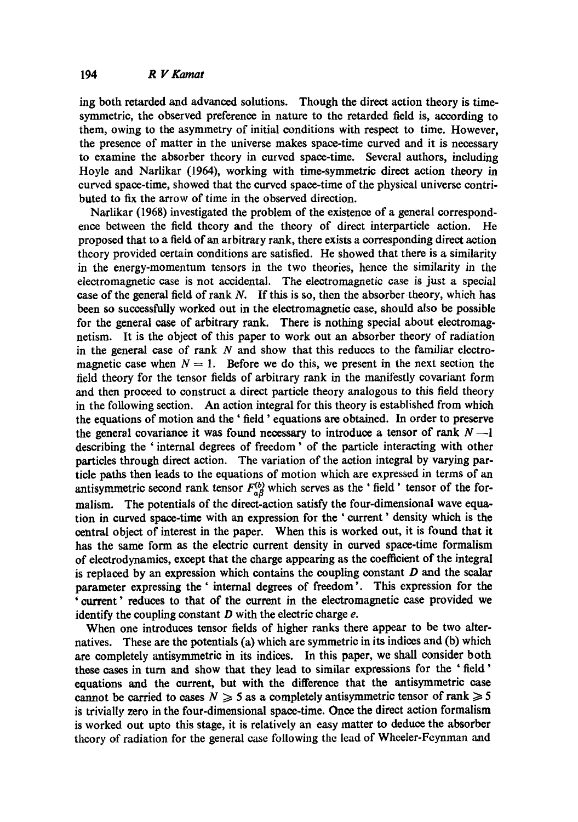ing both retarded and advanced solutions. Though the direct action theory is timesymmetric, the observed preference in nature to the retarded field is, according to them, owing to the asymmetry of initial conditions with respect to time. However, the presence of matter in the universe makes space-time curved and it is necessary to examine the absorber theory in curved space-time. Several authors, including Hoyle and Narlikar (1964), working with time-symmetric direct action theory in curved space-time, showed that the curved space-time of the physical universe contributed to fix the arrow of time in the observed direction.

Narlikar (1968) investigated the problem of the existence of a general correspondence between the field theory and the theory of direct interparticle action. He proposed that to a field of an arbitrary rank, there exists a corresponding direct action theory provided certain conditions are satisfied. He showed that there is a similarity in the energy-momentum tensors in the two theories, hence the similarity in the electromagnetic case is not accidental. The electromagnetic case is just a special case of the general field of rank N. If this is so, then the absorber theory, which has been so successfully worked out in the electromagnetic case, should also be possible for the general case of arbitrary rank. There is nothing special about electromagnetism. It is the object of this paper to work out an absorber theory of radiation in the general case of rank  $N$  and show that this reduces to the familiar electromagnetic case when  $N = 1$ . Before we do this, we present in the next section the field theory for the tensor fields of arbitrary rank in the manifestly oovariant form and then proceed to construct a direct particle theory analogous to this field theory in the following section. An action integral for this theory is established from which the equations of motion and the ' field' equations are obtained. In order to preserve the general covariance it was found necessary to introduce a tensor of rank  $N-1$ describing the ' internal degrees of freedom' of the particle interacting with other particles through direct action. The variation of the action integral by varying partiole paths then leads to the equations of motion which are expressed in terms of an antisymmetric second rank tensor  $F^{(b)}_{a\beta}$  which serves as the ' field' tensor of the formalism. The potentials of the direct-action satisfy the four-dimensional wave equation in curved space-time with an expression for the ' current' density which is the central object of interest in the paper. When this is worked out, it is found that it has the same form as the electric current density in curved space-time formalism of electrodynamics, except that the charge appearing as the coefficient of the integral is replaced by an expression which contains the coupling constant  $D$  and the scalar parameter expressing the' internal degrees of freedom'. This expression for the ' current" reduces to that of the current in the electromagnetic case provided we identify the coupling constant  $D$  with the electric charge  $e$ .

When one introduces tensor fields of higher ranks there appear to be two alternatives. These are the potentials (a) which are symmetric in its indices and (b) which are completely antisymmetric in its indices. In this paper, we shall consider both these cases in turn and show that they lead to similar expressions for the ' field ' equations and the current, but with the difference that the antisymmetric case cannot be carried to cases  $N \geq 5$  as a completely antisymmetric tensor of rank  $\geq 5$ is trivially zero in the four-dimensional space-time. Once the direct action formalism is worked out upto this stage, it is relatively an easy matter to deduce the absorber theory of radiation for the general case following the lead of Whceler-Fcynman and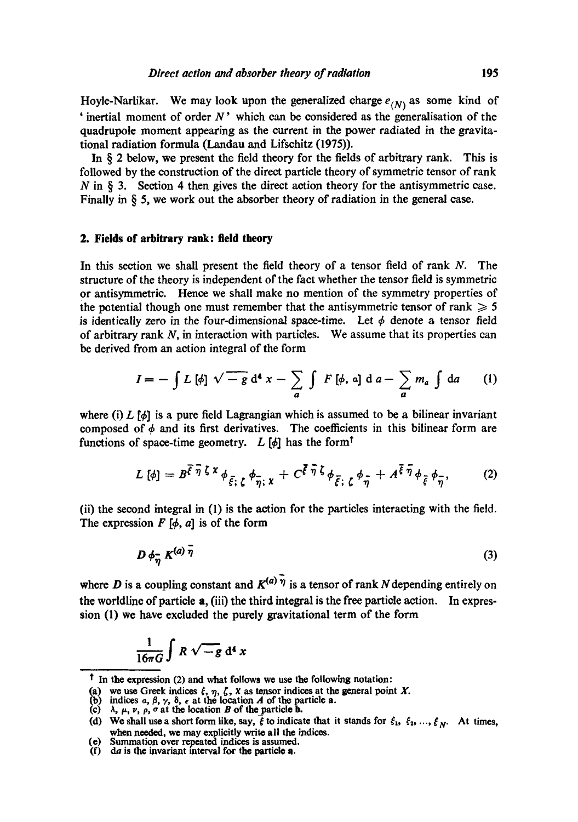Hoyle-Narlikar. We may look upon the generalized charge  $e_{(N)}$  as some kind of ' inertial moment of order  $N$ ' which can be considered as the generalisation of the quadrupole moment appearing as the current in the power radiated in the gravitational radiation formula (Landau and Lifschitz (1975)).

In § 2 below, we present the field theory for the fields of arbitrary rank. This is followed by the construction of the direct particle theory of symmetric tensor of rank  $N$  in  $\S$  3. Section 4 then gives the direct action theory for the antisymmetric case. Finally in § 5, we work out the absorber theory of radiation in the general case.

### **2. Fields of arbitrary rank: field theory**

In this section we shall present the field theory of a tensor field of rank N. The structure of the theory is *independent* of the fact whether the tensor field is symmetric or antisymmetric. Hence we shall make no mention of the symmetry properties of the potential though one must remember that the antisymmetric tensor of rank  $\geq 5$ is identically zero in the four-dimensional space-time. Let  $\phi$  denote a tensor field of arbitrary rank  $N$ , in interaction with particles. We assume that its properties can be derived from an action integral of the form

$$
I = -\int L[\phi] \sqrt{-g} d^4 x - \sum_a \int F[\phi, a] d a - \sum_a m_a \int da \qquad (1)
$$

where (i) L  $[\phi]$  is a pure field Lagrangian which is assumed to be a bilinear invariant composed of  $\phi$  and its first derivatives. The coefficients in this bilinear form are functions of space-time geometry. L  $[\phi]$  has the form<sup>t</sup>

$$
L[\phi] = B^{\overline{\xi}\,\overline{\eta}\,\zeta\,x} \phi_{\overline{\xi};\,\zeta} \phi_{\overline{\eta};\,x} + C^{\overline{\xi}\,\overline{\eta}\,\zeta} \phi_{\overline{\xi};\,\zeta} \phi_{\overline{\eta}} + A^{\overline{\xi}\,\overline{\eta}} \phi_{\overline{\xi}} \phi_{\overline{\eta}},\tag{2}
$$

(ii) the second integral in (1) is the action for the particles interacting with the field. The expression  $F[\phi, a]$  is of the form

$$
D \phi_{\overline{\eta}} K^{(a) \overline{\eta}} \tag{3}
$$

where D is a coupling constant and  $K^{(a)}$   $\bar{\eta}$  is a tensor of rank N depending entirely on the worldline of particle a, (iii) the third integral is the free particle action. In expression (1) we have excluded the purely gravitational term of the form

$$
\frac{1}{16\pi G}\int R\sqrt{-g}\,d^4\,x
$$

t In the expression (2) and what follows we use the following notation:

<sup>(</sup>a) we use Greek indices  $\xi$ ,  $\eta$ ,  $\zeta$ ,  $\chi$  as tensor indices at the general point X.

indices a,  $\beta$ ,  $\gamma$ ,  $\delta$ ,  $\epsilon$  at the location A of the particle **a**.

<sup>(</sup>c)  $\lambda$ ,  $\mu$ ,  $\nu$ ,  $\rho$ ,  $\sigma$  at the location B of the particle **b.** 

<sup>(</sup>d) We shall use a short form like, say,  $\vec{\xi}$  to indicate that it stands for  $\xi_1, \xi_2, ..., \xi_N$ . At times, when needed, we may explicitly write all the indices.

<sup>(</sup>e) Summation over repeated indices is assumed.

<sup>(</sup>f) da **is the** invariant interval for the particle a.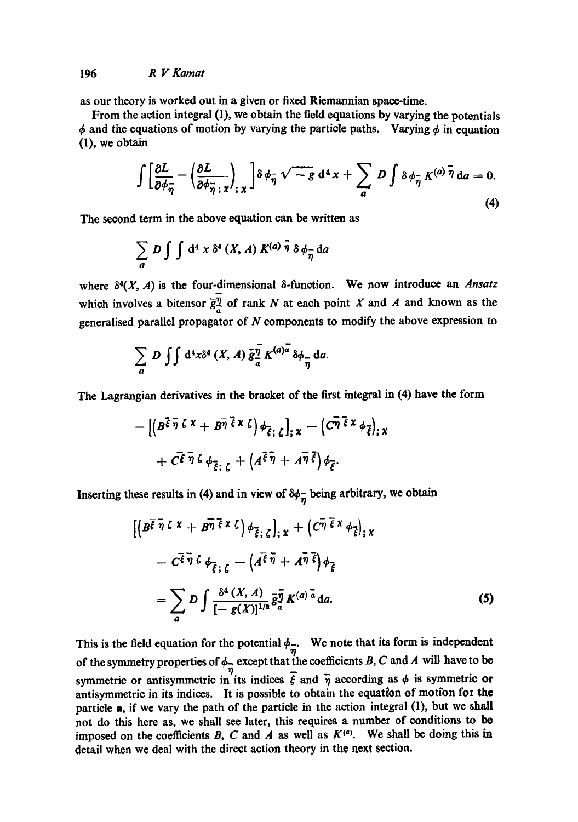as our theory is worked out in a given or fixed Riemannian space-time.

From the action integral (1), we obtain the field equations by varying the potentials  $\phi$  and the equations of motion by varying the particle paths. Varying  $\phi$  in equation (1), we obtain

$$
\int \left[ \frac{\partial L}{\partial \phi_{\overline{\eta}}} - \left( \frac{\partial L}{\partial \phi_{\overline{\eta}} \cdot x} \right)_{;x} \right] \delta \phi_{\overline{\eta}} \sqrt{-g} \, d^4 x + \sum_{a} D \int \delta \phi_{\overline{\eta}} K^{(a)} \overline{\eta} \, da = 0.
$$
\n(4)

The second term in the above equation can be written as

$$
\sum_{a} D \int \int d^4 x \, \delta^4 (X, A) K^{(a)} \bar{\eta} \, \delta \phi_{\bar{\eta}} da
$$

where  $\delta^4(X, A)$  is the four-dimensional  $\delta$ -function. We now introduce an *Ansatz* which involves a bitensor  $\overline{g}_{a}^{\overline{\eta}}$  of rank N at each point X and A and known as the generalised parallel propagator of  $N$  components to modify the above expression to

$$
\sum_{a} D \int \int d^4x \delta^4(X, A) \, \bar{g}^{\bar{\eta}}_{\bar{a}} K^{(a)\bar{a}} \delta \phi_{\bar{\eta}} da.
$$

The Lagrangian derivatives in the bracket of the first integral in (4) have the form

$$
- \left[ \left( B^{\overline{\xi} \, \overline{\eta} \, \zeta \, x} + B^{\overline{\eta} \, \overline{\xi} \, x \, \zeta} \right) \phi_{\overline{\xi} ; \, \zeta} \right]_{; \, x} - \left( C^{\overline{\eta} \, \overline{\xi} \, x} \phi_{\overline{\xi}} \right)_{; \, x} + C^{\overline{\xi} \, \overline{\eta} \, \zeta} \phi_{\overline{\xi} ; \, \zeta} + \left( A^{\overline{\xi} \, \overline{\eta} \, x} + A^{\overline{\eta} \, \overline{\xi}} \right) \phi_{\overline{\xi}}.
$$

Inserting these results in (4) and in view of  $\delta \phi_{\overline{n}}$  being arbitrary, we obtain

$$
\left[ \left( B^{\overline{\xi} \; \overline{\eta} \; \zeta \; x} + B^{\overline{\eta} \; \overline{\xi} \; x \; \zeta} \right) \phi_{\overline{\xi} \; ; \; \zeta} \right]_{; \; x} + \left( C^{\overline{\eta} \; \overline{\xi} \; x} \; \phi_{\overline{\xi}} \right)_{; \; x} \n- C^{\overline{\xi} \; \overline{\eta} \; \zeta} \; \phi_{\overline{\xi} \; ; \; \zeta} - \left( A^{\overline{\xi} \; \overline{\eta}} + A^{\overline{\eta} \; \overline{\xi}} \right) \phi_{\overline{\xi}} \n= \sum_{a} D \int \frac{\delta^a (X, A)}{[-g(X)]^{1/2}} \bar{g}_a^{\overline{\eta}} K^{(a) \; \overline{a}} da.
$$
\n(5)

This is the field equation for the potential  $\phi_{\overline{\eta}}$ . We note that its form is independent of the symmetry properties of  $\phi$  except that the coefficients B, C and A will have to be symmetric or antisymmetric in its indices  $\overline{\xi}$  and  $\overline{\eta}$  according as  $\phi$  is symmetric or antisymmetric in its indices. It is possible to obtain the equation of motion for the particle a, if we vary the path of the particle in the action integral (I), but we shall not do this here as, we shall see later, this requires a number of conditions to be imposed on the coefficients B, C and A as well as  $K^{(a)}$ . We shall be doing this in detail when we deal with the direct action theory in the next section.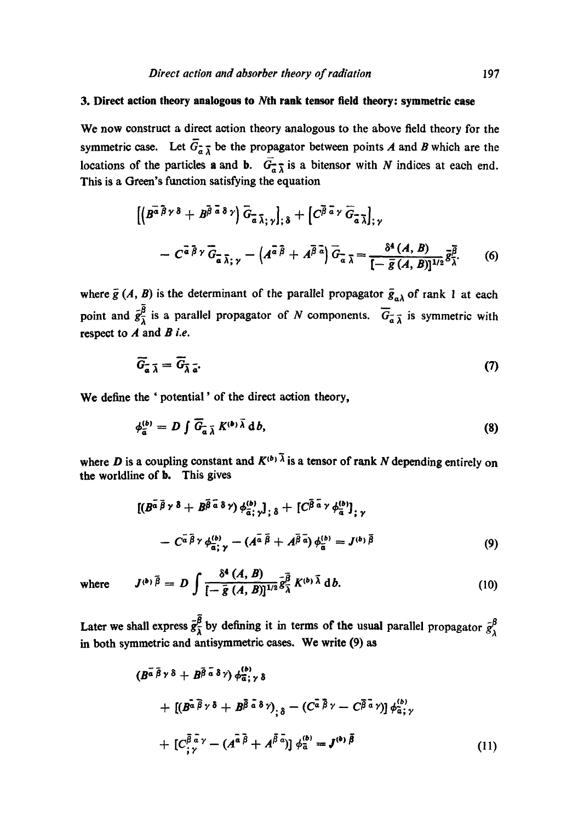## 3. Direct action theory **analogous to Nth** rank tensor field theory: symmetric **case**

We now construct a direct action theory analogous to the above field theory for the symmetric case. Let  $\overline{G}_{\overline{a}}$  be the propagator between points A and B which are the locations of the particles **a** and **b**.  $\overrightarrow{G}_{\overrightarrow{a}}$  is a bitensor with N indices at each end. This is a Green's function satisfying the equation

$$
\left[ \left( B^{\overline{a}\overline{\beta}\gamma\delta} + B^{\overline{\beta}\overline{a}\delta\gamma} \right) \overline{G}_{\overline{a}\overline{\lambda};\gamma} \right]_{;\delta} + \left[ C^{\overline{\beta}\overline{a}\gamma} \overline{G}_{\overline{a}\overline{\lambda}} \right]_{;\gamma} - C^{\overline{a}\overline{\beta}\gamma} \overline{G}_{\overline{a}\overline{\lambda};\gamma} - \left( A^{\overline{a}\overline{\beta}} + A^{\overline{\beta}\overline{a}} \right) \overline{G}_{\overline{a}\overline{\lambda}} = \frac{\delta^4(A,B)}{\left[ -\overline{g}(A,B)\right]^{1/2}} \overline{g}_{\overline{\lambda}}^{\overline{\beta}}.
$$
 (6)

where  $\bar{g}(A, B)$  is the determinant of the parallel propagator  $\bar{g}_{\alpha\lambda}$  of rank 1 at each point and  $g_{\overline{\lambda}}^{\mu}$  is a parallel propagator of N components.  $G_{\overline{\lambda}}$  is symmetric with respect to A and *B i.e.* 

$$
\widetilde{G}_{\overline{a}} \overline{\lambda} = \overline{G}_{\overline{\lambda} \overline{a}}. \tag{7}
$$

We define the ' potential' of the direct action theory,

$$
\phi_{\tilde{\mathfrak{a}}}^{(b)} = D \int \overline{G}_{\tilde{\mathfrak{a}}} \, \overline{\chi} \, K^{(b)} \, \overline{\lambda} \, \mathrm{d} \, b,\tag{8}
$$

where D is a coupling constant and  $K^{(b)}$ <sup> $\bar{\lambda}$ </sup> is a tensor of rank N depending entirely on the worldline of b. This gives

$$
[(B^{\overline{a}\ \overline{\beta}\ \gamma\ \delta} + B^{\overline{\beta}\ \overline{a}\ \delta\ \gamma)}\phi_{\overline{a};\ \gamma}^{(b)}]_{;\ \delta} + [C^{\overline{\beta}\ \overline{a}\ \gamma}\phi_{\overline{a}}^{(b)}]_{;\ \gamma} - C^{\overline{a}\ \overline{\beta}\ \gamma}\phi_{\overline{a};\ \gamma}^{(b)} - (A^{\overline{a}\ \overline{\beta}} + A^{\overline{\beta}\ \overline{a}})\phi_{\overline{a}}^{(b)} = J^{(b)\ \overline{\beta}} \qquad (9)
$$

where 
$$
J^{(b)}\overline{\beta} = D \int \frac{\delta^4 (A, B)}{\left[-\overline{g}(A, B)\right]^{1/2}} \overline{g}_{\overline{\lambda}}^{\overline{\beta}} K^{(b)} \overline{\lambda} d b. \qquad (10)
$$

Later we shall express  $\bar{g}_\lambda^{\beta}$  by defining it in terms of the usual parallel propagator  $\bar{g}_\lambda^{\beta}$ in both symmetric and antisymmetric oases. We write (9) as

$$
(B^{\overline{a}\overline{\beta}\gamma\delta} + B^{\overline{\beta}\overline{a}\delta\gamma}) \phi_{\overline{a};\gamma\delta}^{(b)} + [(B^{\overline{a}\overline{\beta}\gamma\delta} + B^{\overline{\beta}\overline{a}\delta\gamma})_{;\delta} - (C^{\overline{a}\overline{\beta}\gamma} - C^{\overline{\beta}\overline{a}\gamma})] \phi_{\overline{a};\gamma}^{(b)} + [C^{\overline{\beta}\overline{a}\gamma}_{;\gamma} - (A^{\overline{a}\overline{\beta}} + A^{\overline{\beta}\overline{a}})] \phi_{\overline{a}}^{(b)} = J^{(b)\overline{\beta}}
$$
(11)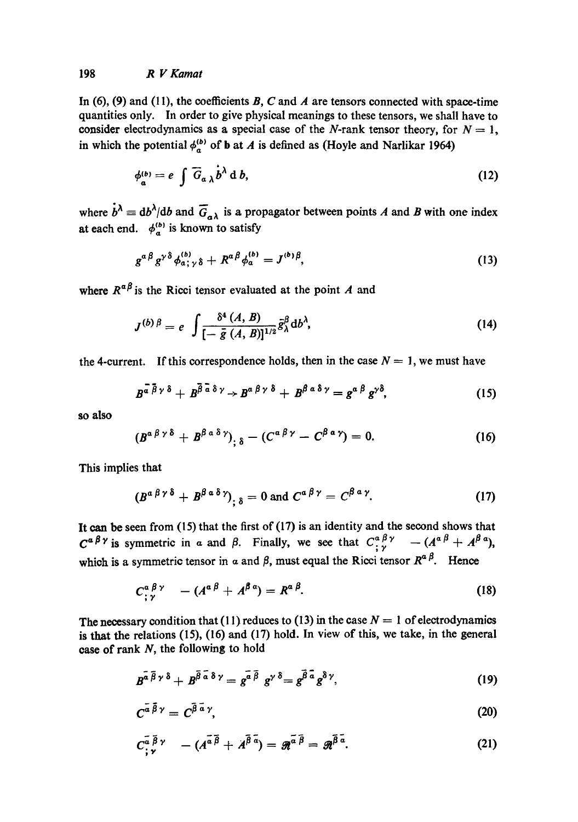In (6), (9) and (11), the coefficients B, C and A are tensors connected with space-time quantities only. In order to give physical meanings to these tensors, we shall have to consider electrodynamics as a special case of the N-rank tensor theory, for  $N = 1$ , in which the potential  $\phi_c^{(b)}$  of **b** at A is defined as (Hoyle and Narlikar 1964)

$$
\phi_a^{(b)} = e \int \overline{G}_{a\,\lambda} \dot{b}^{\lambda} \, d\,b,\tag{12}
$$

where  $\dot{b}^{\lambda} \equiv db^{\lambda}/db$  and  $\overline{G}_{a\lambda}$  is a propagator between points A and B with one index at each end.  $\phi_a^{(b)}$  is known to satisfy

$$
g^{a\,\beta}g^{\gamma\,\delta}\phi_{a\,;\,\gamma\,\delta}^{(b)}+R^{a\,\beta}\phi_{a}^{(b)}=J^{(b)\,\beta},\tag{13}
$$

where  $R^{\alpha\beta}$  is the Ricci tensor evaluated at the point A and

$$
J^{(b)\beta} = e \int \frac{\delta^4 (A, B)}{\left[-\bar{g} (A, B)\right]^{1/2}} \bar{g}_{\lambda}^{\beta} \mathrm{d}b^{\lambda}, \tag{14}
$$

the 4-current. If this correspondence holds, then in the case  $N = 1$ , we must have

$$
B^{\overline{a}\ \overline{\beta}\ \gamma\ \delta} + B^{\overline{\beta}\ \overline{a}\ \delta\ \gamma} \rightarrow B^{\alpha\ \beta\ \gamma\ \delta} + B^{\beta\ a\ \delta\ \gamma} = g^{\alpha\ \beta}\ g^{\gamma\delta},\tag{15}
$$

**so also** 

$$
(B^{\alpha\beta\gamma\delta}+B^{\beta\alpha\delta\gamma})_{;\delta}-(C^{\alpha\beta\gamma}-C^{\beta\alpha\gamma})=0.
$$
 (16)

This implies that

$$
(B^{\alpha\beta\gamma\delta}+B^{\beta\alpha\delta\gamma})_{;\delta}=0\text{ and }C^{\alpha\beta\gamma}=C^{\beta\alpha\gamma}.
$$
 (17)

It can be seen from  $(15)$  that the first of  $(17)$  is an identity and the second shows that  $C^{a \beta \gamma}$  is symmetric in a and  $\beta$ . Finally, we see that  $C^{a \beta \gamma}_{; \gamma}$   $- (A^{\alpha \beta} + A^{\beta \alpha})$ , which is a symmetric tensor in  $\alpha$  and  $\beta$ , must equal the Ricci tensor  $R^{\alpha\beta}$ . Hence

$$
C_{;\gamma}^{\alpha\,\beta\,\gamma} \quad - (A^{\alpha\,\beta} + A^{\beta\,\alpha}) = R^{\alpha\,\beta}.\tag{18}
$$

The necessary condition that (11) reduces to (13) in the case  $N = 1$  of electrodynamics is that the relations (15), (16) and (17) hold. In view of this, we take, in the general case of rank N, the following to hold

$$
B^{\tilde{a}\,\tilde{\beta}\,\gamma\,\delta}+B^{\tilde{\beta}\,\tilde{a}\,\delta\,\gamma}=g^{\tilde{a}\,\tilde{\beta}}\,\,g^{\gamma\,\delta}=g^{\tilde{\beta}\,\tilde{a}}\,g^{\delta\,\gamma},\qquad \qquad (19)
$$

$$
C^{\tilde{a}\,\tilde{\beta}\,\gamma} = C^{\tilde{\beta}\,\tilde{a}\,\gamma},\tag{20}
$$

$$
C_{\tilde{i}}^{\tilde{a}\tilde{\beta}\gamma} - (A^{\tilde{a}\tilde{\beta}} + A^{\tilde{\beta}\tilde{a}}) = \tilde{\mathfrak{M}}^{\tilde{a}\tilde{\beta}} = \tilde{\mathfrak{M}}^{\tilde{\beta}\tilde{a}}.
$$
 (21)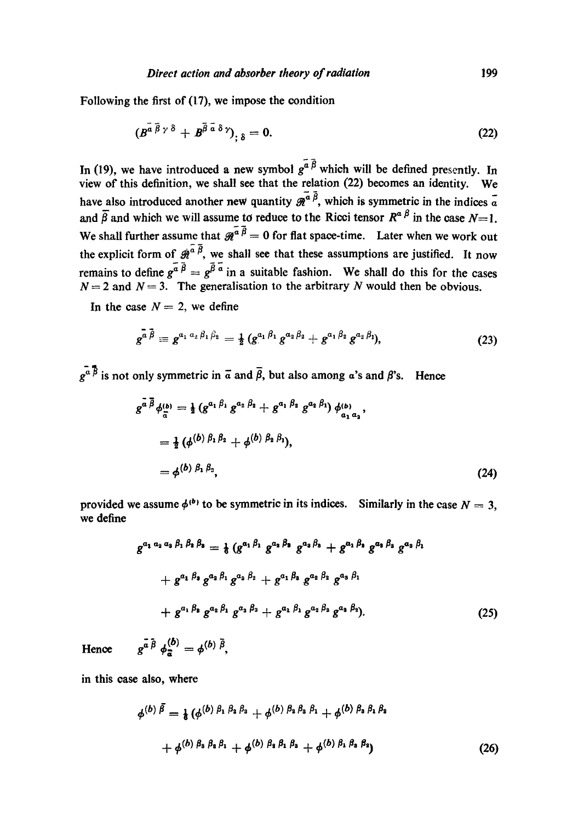Following the first of (17), we impose the condition

$$
(B^{\tilde{a}\,\tilde{\beta}\,\gamma\,\delta}+B^{\tilde{\beta}\,\tilde{a}\,\delta\,\gamma})_{;\,\delta}=0.\tag{22}
$$

In (19), we have introduced a new symbol  $g^{\bar{a}\bar{\beta}}$  which will be defined presently. In view of this definition, we shall see that the relation (22) becomes an identity. We have also introduced another new quantity  $\tilde{g}^{\tilde{a} \tilde{\beta}}$ , which is symmetric in the indices  $\tilde{a}$ and  $\overline{\beta}$  and which we will assume to reduce to the Ricci tensor  $R^{\alpha\beta}$  in the case  $N=1$ . We shall further assume that  $\mathcal{R}^{\alpha \overline{\beta}} = 0$  for flat space-time. Later when we work out the explicit form of  $\hat{\mathcal{B}}_i^{\alpha \overline{\beta}}$ , we shall see that these assumptions are justified. It now remains to define  $g^{\bar{a}} \bar{B} = g^{\bar{\beta} \bar{a}}$  in a suitable fashion. We shall do this for the cases  $N = 2$  and  $N = 3$ . The generalisation to the arbitrary N would then be obvious.

In the case  $N=2$ , we define

$$
g^{\bar{a}\bar{\beta}} \equiv g^{a_1\,a_2\,\beta_1\,\beta_2} = \frac{1}{2}\,(g^{a_1\,\beta_1}\,g^{a_2\,\beta_2} + g^{a_1\,\beta_2}\,g^{a_2\,\beta_1}),\tag{23}
$$

 $\overline{e^a}$  is not only symmetric in  $\overline{a}$  and  $\overline{\beta}$ , but also among a's and  $\beta$ 's. Hence

$$
g^{a \beta} \phi_{\overline{a}}^{(b)} = \frac{1}{2} \left( g^{a_1 \beta_1} g^{a_2 \beta_2} + g^{a_1 \beta_2} g^{a_2 \beta_1} \right) \phi_{a_1 a_2}^{(b)},
$$
  

$$
= \frac{1}{2} \left( \phi^{(b)} \beta_1 \beta_2 + \phi^{(b)} \beta_2 \beta_1 \right),
$$
  

$$
= \phi^{(b)} \beta_1 \beta_3,
$$
 (24)

provided we assume  $\phi^{(b)}$  to be symmetric in its indices. Similarly in the case  $N = 3$ , we define

$$
g^{a_1 a_2 a_3 \beta_1 \beta_2 \beta_3} = \frac{1}{6} (g^{a_1 \beta_1} g^{a_2 \beta_3} g^{a_3 \beta_3} + g^{a_1 \beta_3} g^{a_2 \beta_3} g^{a_3 \beta_1} + g^{a_1 \beta_3} g^{a_2 \beta_1} g^{a_3 \beta_2} + g^{a_1 \beta_3} g^{a_2 \beta_2} g^{a_3 \beta_1} + g^{a_1 \beta_3} g^{a_2 \beta_1} g^{a_3 \beta_3} + g^{a_1 \beta_1} g^{a_2 \beta_3} g^{a_3 \beta_2}.
$$
 (25)

Hence  $g^{\vec{a} \cdot \vec{\beta}} \phi^{(\vec{b})}_{\vec{a}} = \phi^{(\vec{b}) \cdot \vec{\beta}},$ 

in this case also, where

$$
\phi^{(b)}\bar{\beta} = \frac{1}{6} \left( \phi^{(b)}\beta_1 \beta_2 \beta_3 + \phi^{(b)}\beta_2 \beta_3 \beta_1 + \phi^{(b)}\beta_3 \beta_1 \beta_2 + \phi^{(b)}\beta_3 \beta_2 \beta_1 + \phi^{(b)}\beta_2 \beta_1 \beta_3 + \phi^{(b)}\beta_1 \beta_2 \beta_2 \right)
$$
\n
$$
(26)
$$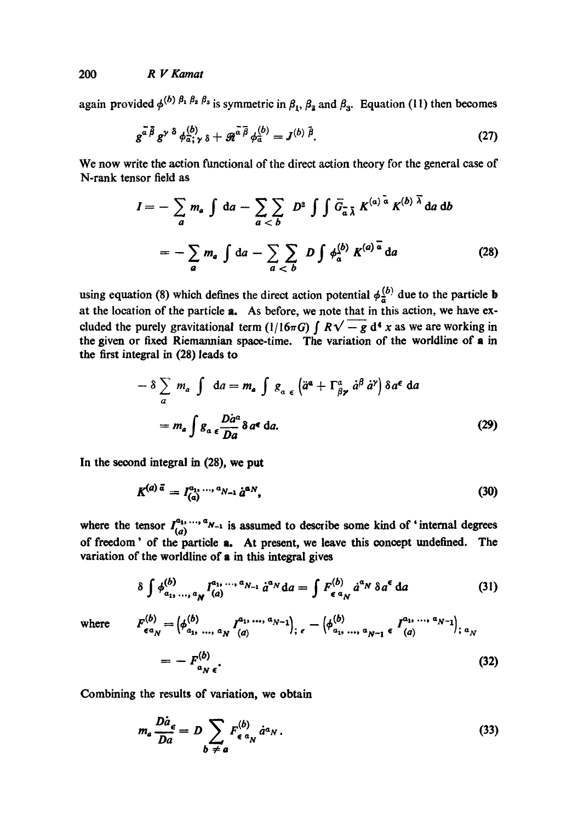again provided  $\phi^{(b) \beta_1 \beta_2 \beta_3}$  is symmetric in  $\beta_1$ ,  $\beta_2$  and  $\beta_3$ . Equation (11) then becomes

$$
g^{\bar{a}\bar{\beta}}g^{\gamma\delta}\phi_{\bar{a};\gamma\delta}^{(b)} + \mathcal{R}^{\bar{a}\bar{\beta}}\phi_{\bar{a}}^{(b)} = J^{(b)\bar{\beta}}.
$$
 (27)

We now write the action functional of the direct action theory for the general case of N-rank tensor field as

$$
I = -\sum_{a} m_{a} \int da - \sum_{a < b} D^{2} \int \int \overline{G}_{\overline{a}} \overline{\lambda} K^{(a) \overline{a}} K^{(b) \overline{\lambda}} da db
$$
  
= 
$$
- \sum_{a} m_{a} \int da - \sum_{a < b} D \int \phi_{\overline{a}}^{(b)} K^{(a) \overline{a}} da
$$
 (28)

using equation (8) which defines the direct action potential  $\phi_{\overline{a}}^{(b)}$  due to the particle **b** at the location of the particle a. As before, we note that in this action, we have excluded the purely gravitational term (1/16 $\pi G$ )  $\int R\sqrt{-g} d^4 x$  as we are working in the given or fixed Riemannian space-time. The variation of the worldline of a in the first integral in (28) leads to

$$
- \delta \sum_{a} m_{a} \int da = m_{a} \int g_{a} \epsilon \left\langle \ddot{a}^{a} + \Gamma^{\alpha}_{\beta \gamma} \dot{a}^{\beta} \dot{a}^{\gamma} \right\rangle \delta a^{\epsilon} da
$$

$$
= m_{a} \int g_{a} \epsilon \frac{D \dot{a}^{a}}{Da} \delta a^{\epsilon} da. \tag{29}
$$

In the second integral in (28), we put

$$
K^{(a)\,\vec{a}} = I_{(a)}^{a_1,\,\ldots,\,\hat{a}_{N-1}}\,\dot{a}^{a_N},\tag{30}
$$

where the tensor  $I_{(a)}^{a_1, \ldots, a_{N-1}}$  is assumed to describe some kind of 'internal degrees of freedom' of the particle a. At present, we leave this concept undefined. The variation of the worldline of a in this integral gives

$$
\delta \int \phi_{a_1, \ldots, a_N}^{(b)} I_{(a)}^{a_1, \ldots, a_{N-1}} \dot{a}^{a_N} da = \int F_{\epsilon \, a_N}^{(b)} \dot{a}^{a_N} \, \delta a^{\epsilon} da \tag{31}
$$

where 
$$
F_{\epsilon a_N}^{(b)} = \left(\phi_{a_1, ..., a_N}^{(b)} I_{(a)}^{a_1, ..., a_{N-1}}\right)_{; \epsilon} - \left(\phi_{a_1, ..., a_{N-1}}^{(b)} \epsilon I_{(a)}^{a_1, ..., a_{N-1}}\right)_{; \alpha_N}
$$

$$
= - F_{a_N \epsilon}^{(b)}.
$$
 (32)

Combining the results of variation, we obtain

$$
m_a \frac{D \dot{a}}{D a} = D \sum_{b \neq a} F_{\epsilon}^{(b)} a^a N \,. \tag{33}
$$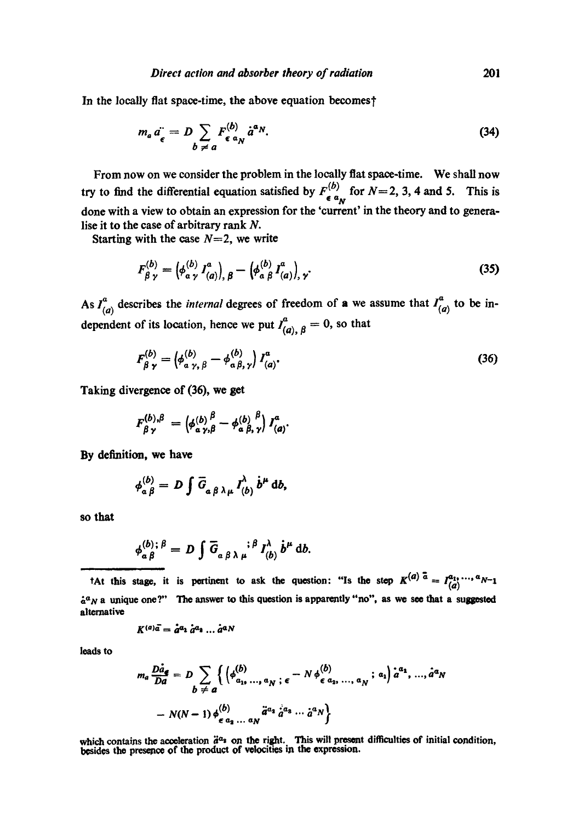In the locally flat space-time, the above equation becomes?

$$
m_a \ddot{a_\epsilon} = D \sum_{b \neq a} F^{(b)}_{\epsilon \alpha_N} \dot{a}^{\alpha_N}.
$$
 (34)

From now on we consider the problem in the locally fiat space-time. We shall now try to find the differential equation satisfied by  $F_{\epsilon a_N}^{(b)}$  for  $N=2, 3, 4$  and 5. This is done with a view to obtain an expression for the 'current' in the theory and to generalise it to the case of arbitrary rank  $N$ .

Starting with the case  $N=2$ , we write

$$
F_{\beta\gamma}^{(b)} = \left(\phi_{\alpha\gamma}^{(b)} I_{(a)}^a\right)_{,\beta} - \left(\phi_{\alpha\beta}^{(b)} I_{(a)}^a\right)_{,\gamma}.
$$
 (35)

As  $I_{(a)}^a$  describes the *internal* degrees of freedom of a we assume that  $I_{(a)}^a$  to be independent of its location, hence we put  $I_{(a), \beta}^a = 0$ , so that

$$
F_{\beta\gamma}^{(b)} = \left(\phi_{a\gamma,\ \beta}^{(b)} - \phi_{a\,\beta,\,\gamma}^{(b)}\right)I_{(a)}^{a}.
$$
 (36)

Taking divergence of (36), we get

$$
F_{\beta\gamma}^{(b),\beta} = \left(\phi_{\alpha\gamma,\beta}^{(b)} - \phi_{\alpha\beta,\gamma}^{(b)}\right)I_{(a)}^a.
$$

By definition, we have

$$
\phi_{\alpha\beta}^{(b)}=D\int\overline{G}_{\alpha\beta\lambda\mu}I_{(b)}^{\lambda}b^{\mu}\,db,
$$

so that

$$
\phi_{\alpha\beta}^{(b);\beta} = D \int \overline{G}_{\alpha\beta\lambda\mu}^{\qquad \beta} I_{(b)}^{\lambda} \dot{b}^{\mu} \, db.
$$

*t*At this stage, it is pertinent to ask the question: "Is the step  $K^{(a)} = I_{(a)}^{a_1, \dots, a} N^{-1}$  $\dot{a}^a$ <sub>N</sub> a unique one?" The answer to this question is apparently "no", as we see that a suggested alternative

$$
K^{(a)}\overline{a} = \overline{a}^{a_1} \overline{a}^{a_2} \dots \overline{a}^{a_N}
$$

leads to

$$
m_a \frac{D \dot{a}_e}{D a} = D \sum_{b \neq a} \left\{ \left( \phi_{a_{1},...,a_{N}}^{(b)}, \epsilon - N \phi_{\epsilon a_{2},...,a_{N}}^{(b)}; a_{1} \right) \dot{a}^{a_{1}}, ..., \dot{a}^{a_{N}} - N(N-1) \phi_{\epsilon a_{1},...,a_{N}}^{(b)} \ddot{a}^{a_{1}} \dot{a}^{a_{3}} ... \dot{a}^{a_{N}} \right\}
$$

which contains the acceleration  $\ddot{a}^{\alpha}$  on the right. This will present difficulties of initial condition, besides the presence of the product of velocities in the expression.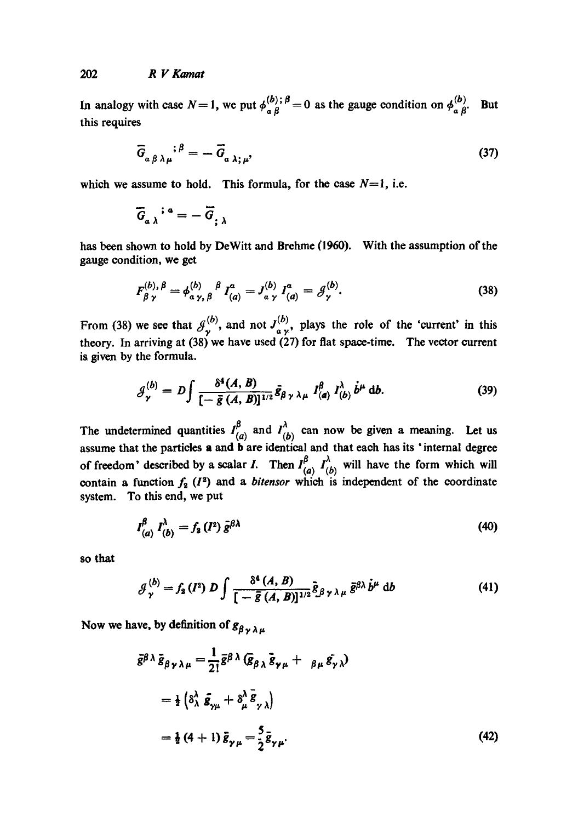In analogy with case  $N=1$ , we put  $\phi_{\alpha\beta}^{(b)}$ ;  $\beta=0$  as the gauge condition on  $\phi_{\alpha\beta}^{(b)}$ . this requires **But** 

$$
\overline{G}_{a\beta\lambda\mu}^{\quad \ \, ;\beta} = -\overline{G}_{a\lambda;\mu},\tag{37}
$$

which we assume to hold. This formula, for the case  $N=1$ , i.e.

$$
\overline{G}_{a\,\lambda}^{\quad \ \, \mathbf{i}\,\,\mathbf{a}}=-\,\overline{G}_{;\,\lambda}
$$

has been shown to hold by DeWitt and Brehme (1960). With the assumption of the gauge condition, we get

$$
F_{\beta\gamma}^{(b),\,\beta} = \phi_{\alpha\gamma,\,\beta}^{(b)}\,f_{(a)}^a = J_{\alpha\gamma}^{(b)}\,I_{(a)}^a = \mathcal{G}_{\gamma}^{(b)}.\tag{38}
$$

From (38) theory. In is given by the formula. we see that  $\mathcal{J}_{\nu}^{(b)}$ , and not  $J_{a\nu}^{(b)}$ , plays the role of the 'current' in this arriving at (38) we have used (27) for fiat space-time. The vector current

$$
\mathcal{G}_{\gamma}^{(b)} = D \int \frac{\delta^4(A, B)}{\left[-\bar{g}(A, B)\right]^{1/2}} \bar{g}_{\beta\gamma\lambda\mu} \; I_{(a)}^{\beta} \; I_{(b)}^{\lambda} \; \dot{b}^{\mu} \; \mathrm{d}b. \tag{39}
$$

The undetermined quantities  $I_{(a)}^{\beta}$  and  $I_{(b)}^{\lambda}$  can now be given a meaning. Let us assume that the particles a and **b** are identical and that each has its 'internal degree of freedom' described by a scalar *I*. Then  $I'_{\ell\rho}$ ,  $I'_{\ell h}$  will have the form which will contain a function  $f_2(I^2)$  and a *bitensor* which is independent of the coordinate system. To this end, we put

$$
I_{(a)}^{\beta} I_{(b)}^{\lambda} = f_{2}(I^{2}) \bar{g}^{\beta \lambda}
$$
 (40)

so that

$$
\mathcal{J}_{\gamma}^{(b)} = f_{\mathbf{a}}(I^{\mathbf{a}}) D \int \frac{\delta^{\mathbf{a}}(A, B)}{[-\bar{g}(A, B)]^{1/2}} \tilde{g}_{\beta \gamma \lambda \mu} \, \tilde{g}^{\beta \lambda} \, \dot{b}^{\mu} \, \mathrm{d}b \tag{41}
$$

Now we have, by definition of  $g_{\beta \gamma \lambda \mu}$ 

$$
\bar{g}^{\beta \lambda} \bar{g}_{\beta \gamma \lambda \mu} = \frac{1}{2!} \bar{g}^{\beta \lambda} (\bar{g}_{\beta \lambda} \bar{g}_{\gamma \mu} + \beta_{\mu} \bar{g}_{\gamma \lambda})
$$
  

$$
= \frac{1}{2} (\delta^{\lambda}_{\lambda} \bar{g}_{\gamma \mu} + \delta^{\lambda}_{\mu} \bar{g}_{\gamma \lambda})
$$
  

$$
= \frac{1}{2} (4+1) \bar{g}_{\gamma \mu} = \frac{5}{2} \bar{g}_{\gamma \mu}.
$$
 (42)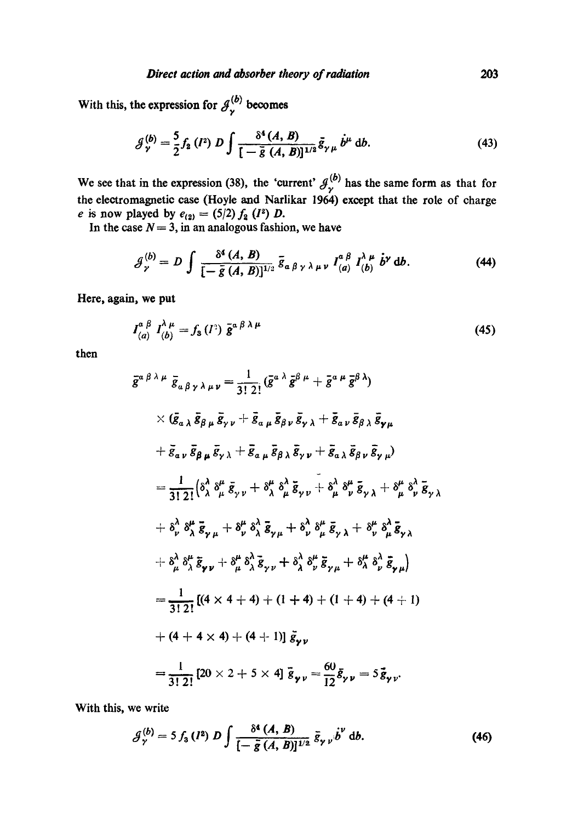With this, the expression for  $\mathcal{J}_{\mathbf{y}}^{(b)}$  becomes

$$
\mathcal{J}_{\gamma}^{(b)} = \frac{5}{2} f_2 \left( I^2 \right) D \int \frac{\delta^4 \left( A, B \right)}{\left[ -\bar{g} \left( A, B \right) \right]^{1/2}} \bar{g}_{\gamma \mu} \dot{b}^{\mu} \, \mathrm{d}b. \tag{43}
$$

We see that in the expression (38), the 'current'  $\mathcal{J}_{\gamma}^{(b)}$  has the same form as that for the electromagnetic case (Hoyle and Narlikar 1964) except that the role of charge *e* is now played by  $e_{(2)} = (5/2) f_2 (I^2) D$ .

In the case  $N = 3$ , in an analogous fashion, we have

$$
\mathcal{J}_{\gamma}^{(b)} = D \int \frac{\delta^4 (A, B)}{[-\bar{g}(A, B)]^{1/2}} \bar{g}_{a \beta \gamma \lambda \mu \nu} I_{(a)}^{a \beta} I_{(b)}^{\lambda \mu} \dot{b}^{\gamma} db. \tag{44}
$$

**Here, again, we put** 

$$
I_{(a)}^{\alpha \beta} I_{(b)}^{\lambda \mu} = f_8(I^2) \bar{g}^{\alpha \beta \lambda \mu}
$$
 (45)

then

$$
\bar{g}^{\alpha\beta\lambda\mu}\bar{g}_{\alpha\beta\gamma\lambda\mu\nu} = \frac{1}{3! \ 2!}(\bar{g}^{\alpha\lambda}\bar{g}^{\beta\mu} + \bar{g}^{\alpha\mu}\bar{g}^{\beta\lambda})
$$
  
\n
$$
\times (\bar{g}_{\alpha\lambda}\bar{g}_{\beta\mu}\bar{g}_{\gamma\nu} + \bar{g}_{\alpha\mu}\bar{g}_{\beta\nu}\bar{g}_{\gamma\lambda} + \bar{g}_{\alpha\nu}\bar{g}_{\beta\lambda}\bar{g}_{\gamma\mu}
$$
  
\n
$$
+ \bar{g}_{\alpha\nu}\bar{g}_{\beta\mu}\bar{g}_{\gamma\lambda} + \bar{g}_{\alpha\mu}\bar{g}_{\beta\lambda}\bar{g}_{\gamma\nu} + \bar{g}_{\alpha\lambda}\bar{g}_{\beta\nu}\bar{g}_{\gamma\mu})
$$
  
\n
$$
= \frac{1}{3! \ 2!}(\delta^{\lambda}_{\lambda}\delta^{\mu}_{\mu}\bar{g}_{\gamma\nu} + \delta^{\mu}_{\lambda}\delta^{\lambda}_{\mu}\bar{g}_{\gamma\nu} + \delta^{\lambda}_{\mu}\delta^{\mu}_{\nu}\bar{g}_{\gamma\lambda} + \delta^{\mu}_{\mu}\delta^{\lambda}_{\nu}\bar{g}_{\gamma\lambda})
$$
  
\n
$$
+ \delta^{\lambda}_{\nu}\delta^{\mu}_{\lambda}\bar{g}_{\gamma\mu} + \delta^{\mu}_{\nu}\delta^{\lambda}_{\lambda}\bar{g}_{\gamma\mu} + \delta^{\lambda}_{\nu}\delta^{\mu}_{\mu}\bar{g}_{\gamma\lambda} + \delta^{\mu}_{\nu}\delta^{\lambda}_{\mu}\bar{g}_{\gamma\lambda}
$$
  
\n
$$
+ \delta^{\lambda}_{\mu}\delta^{\mu}_{\lambda}\bar{g}_{\gamma\nu} + \delta^{\mu}_{\mu}\delta^{\lambda}_{\lambda}\bar{g}_{\gamma\nu} + \delta^{\lambda}_{\nu}\delta^{\mu}_{\mu}\bar{g}_{\gamma\lambda} + \delta^{\mu}_{\nu}\delta^{\lambda}_{\mu}\bar{g}_{\gamma\lambda}
$$
  
\n
$$
= \frac{1}{3! \ 2!}[(4 \times 4 + 4) + (1 + 4) + (1 + 4) + (4 + 1)
$$
  
\n
$$
+ (4 + 4 \times 4) + (4 + 1)] \bar{g}_{\gamma\nu}
$$
  
\n<math display="block</math>

With this, we write

$$
\mathcal{J}_{\gamma}^{(b)} = 5 f_3 \,(l^2) \, D \int \frac{\delta^4 \,(A, \,B)}{[-\,\tilde{g}\,(A, \,B)]^{1/2}} \,\, \bar{g}_{\gamma \, \nu} \, \dot{\bar{b}}^{\nu} \, \mathrm{d}b. \tag{46}
$$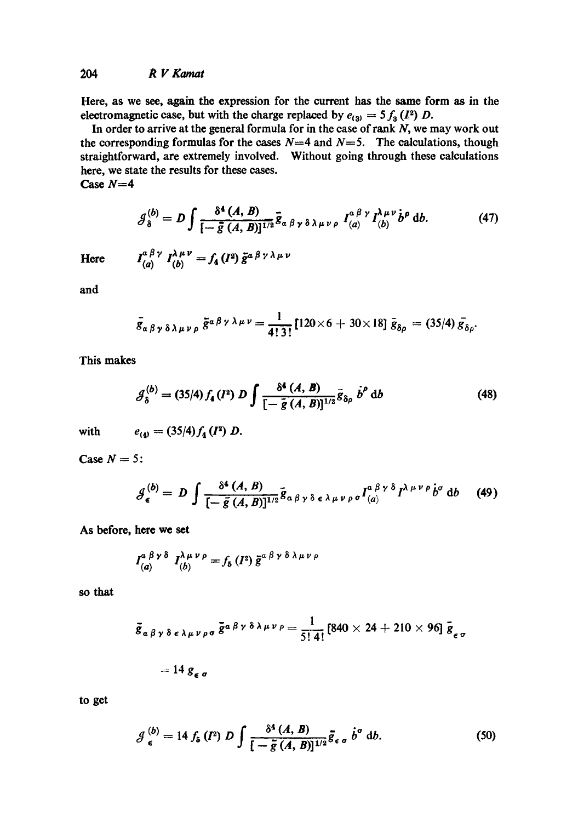Here, as we see, again the expression for the current has the same form as in the electromagnetic case, but with the charge replaced by  $e_{(3)} = 5 f_3 (I_1^2) D$ .

In order to arrive at the general formula for in the case of rank  $N$ , we may work out the corresponding formulas for the cases  $N=4$  and  $N=5$ . The calculations, though straightforward, are extremely involved. Without going through these calculations here, we state the results for these cases. Case *N=4* 

$$
\mathcal{J}_{\delta}^{(b)} = D \int \frac{\delta^4 (A, B)}{[-\bar{g}(A, B)]^{1/2}} \bar{g}_{\alpha\beta\gamma\delta\lambda\mu\nu\rho} I_{(a)}^{\alpha\beta\gamma} I_{(b)}^{\lambda\mu\nu} \dot{b}^{\rho} d b. \tag{47}
$$

**Here** 

$$
I_{(a)}^{a \beta \gamma} I_{(b)}^{\lambda \mu \nu} = f_{4}(I^{a}) \tilde{g}^{a \beta \gamma \lambda \mu \nu}
$$

and

$$
\bar{g}_{\alpha\beta\gamma\delta\lambda\mu\nu\rho}\,\bar{g}^{\alpha\beta\gamma\lambda\mu\nu}=\frac{1}{4!\,3!}\left[120\times6+30\times18\right]\bar{g}_{\delta\rho}=(35/4)\,\bar{g}_{\delta\rho}.
$$

This makes

$$
\mathcal{J}_{\delta}^{(b)} = (35/4) f_{4}(I^{2}) D \int \frac{\delta^{4} (A, B)}{[-\bar{g} (A, B)]^{1/2}} \bar{g}_{\delta \rho} b^{\rho} db
$$
 (48)

with

$$
e_{(4)}=(35/4)f_4(I^2) D.
$$

Case  $N = 5$ :

$$
\mathcal{J}_{\epsilon}^{(b)} = D \int \frac{\delta^4 (A, B)}{[-\bar{g}(A, B)]^{1/2}} \bar{g}_{\alpha \beta \gamma \delta \epsilon \lambda \mu \nu \rho \sigma} I_{(a)}^{\alpha \beta \gamma \delta} I^{\lambda \mu \nu \rho} \dot{b}^{\sigma} db \qquad (49)
$$

As before, here we set

$$
I_{(a)}^{a \beta \gamma \delta} I_{(b)}^{\lambda \mu \nu \rho} = f_{\delta} (I^2) \bar{g}^{a \beta \gamma \delta \lambda \mu \nu \rho}
$$

so that

$$
\bar{g}_{\alpha\beta\gamma\delta\epsilon\lambda\mu\nu\rho\sigma}\bar{g}^{\alpha\beta\gamma\delta\lambda\mu\nu\rho} = \frac{1}{5!\,4!} [840\times24+210\times96] \bar{g}_{\epsilon\sigma}
$$

$$
= 14 g_{\epsilon \sigma}
$$

to get

$$
\mathcal{J}_{\epsilon}^{(b)} = 14 f_{\delta} \left( I^2 \right) D \int \frac{\delta^4 \left( A, B \right)}{\left[ -\frac{\bar{g}}{g} \left( A, B \right) \right]^{1/2}} \bar{g}_{\epsilon \sigma} \dot{b}^{\sigma} \, \mathrm{d}b. \tag{50}
$$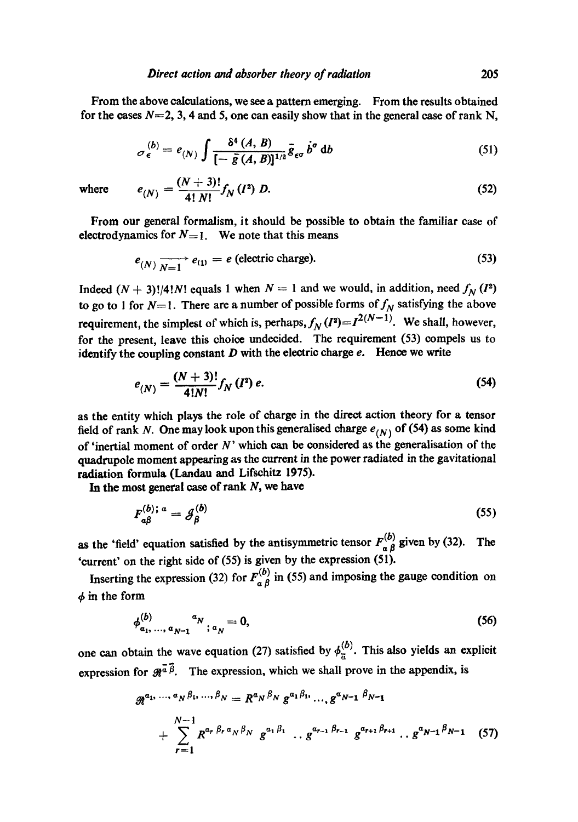From the above calculations, we see a pattern emerging. From the results obtained for the cases  $N=2$ , 3, 4 and 5, one can easily show that in the general case of rank N,

$$
\sigma_{\epsilon}^{(b)} = e_{(N)} \int \frac{\delta^4 (A, B)}{[-\bar{g}(A, B)]^{1/2}} \bar{g}_{\epsilon\sigma} b^{\sigma} db \qquad (51)
$$

where 
$$
e_{(N)} = \frac{(N+3)!}{4! \, N!} f_N(l^2) D.
$$
 (52)

From our general formalism, it should be possible to obtain the familiar case of electrodynamics for  $N=1$ . We note that this means

$$
e_{(N)} \xrightarrow[N=1]{\longrightarrow} e_{(1)} = e \text{ (electric charge).}
$$
 (53)

Indeed  $(N + 3)!/4!N!$  equals 1 when  $N = 1$  and we would, in addition, need  $f_N(I^2)$ to go to 1 for  $N=1$ . There are a number of possible forms of  $f_N$  satisfying the above requirement, the simplest of which is, perhaps,  $f_N(I^2) = I^{2(N-1)}$ . We shall, however, for the present, leave this choice undecided. The requirement (53) compels us to identify the coupling constant  $D$  with the electric charge  $e$ . Hence we write

$$
e_{(N)} = \frac{(N+3)!}{4!N!} f_N(I^2) e. \tag{54}
$$

as the entity which plays the role of charge in the direct action theory for a tensor field of rank N. One may look upon this generalised charge  $e_{(N)}$  of (54) as some kind of 'inertial moment of order  $N$ ' which can be considered as the generalisation of the quadrupole moment appearing as the current in the power radiated in the gavitational radiation formula (Landau and Lifschitz 1975).

In the most general case of rank  $N$ , we have

and the main

$$
F_{a\beta}^{(b);a} = \mathcal{J}_{\beta}^{(b)} \tag{55}
$$

as the 'field' equation satisfied by the antisymmetric tensor  $F_{\alpha\beta}^{(b)}$  given by (32). The 'current' on the right side of (55) is given by the expression (51).

Inserting the expression (32) for  $F_{a\beta}^{(b)}$  in (55) and imposing the gauge condition on  $\phi$  in the form

$$
\phi_{a_1,\ldots,a_{N-1}}^{(b)}{}^{a_N};a_N=0,
$$
\n(56)

one can obtain the wave equation (27) satisfied by  $\phi_{\overline{n}}^{(b)}$ . This also yields an explicit expression for  $\mathscr{R}^{\bar{a}\bar{\beta}}$ . The expression, which we shall prove in the appendix, is

$$
\mathcal{R}^{a_1,\dots,a_N\beta_1,\dots,\beta_N} = R^{a_N\beta_N} g^{a_1\beta_1,\dots,a_{N-1}} g^{a_{N-1}\beta_{N-1}} + \sum_{r=1}^{N-1} R^{a_r\beta_r a_N \beta_N} g^{a_1\beta_1} \dots g^{a_{r-1}\beta_{r-1}} g^{a_{r+1}\beta_{r+1}} \dots g^{a_{N-1}\beta_{N-1}} \quad (57)
$$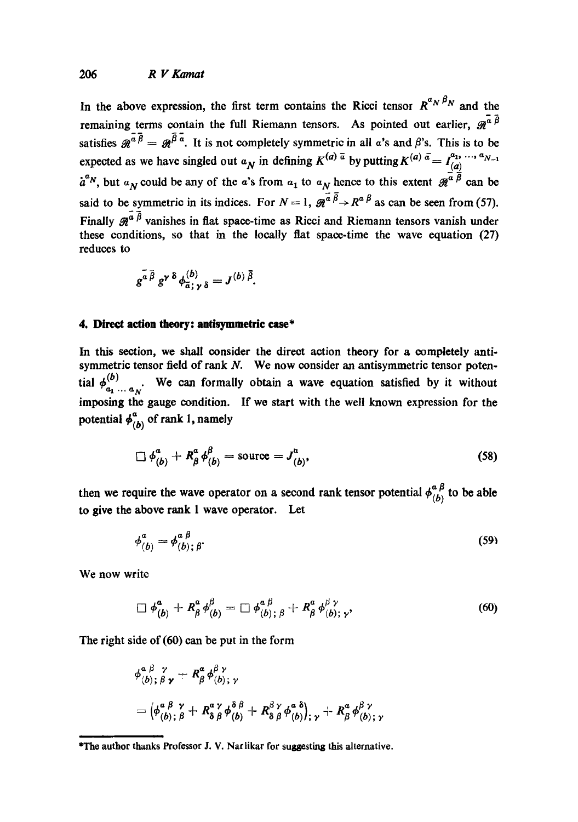In the above expression, the first term contains the Ricci tensor  $R^{a_N \beta_N}$  and the remaining terms contain the full Riemann tensors. As pointed out earlier,  $\mathscr{R}^{\alpha \overrightarrow{\beta}}$ satisfies  $\tilde{g}^{\bar{a}\bar{\beta}} = g\bar{\beta}^{\bar{a}}$ . It is not completely symmetric in all a's and  $\beta$ 's. This is to be expected as we have singled out  $a_N$  in defining  $K^{(a) \bar{a}}$  by putting  $K^{(a) \bar{a}} = I^{a_1, \ldots, a_{N-1}}_{(a)}$  $a^{a}$ , but  $a_N$  could be any of the a's from  $a_1$  to  $a_N$  hence to this extent  $\mathcal{R}^{\alpha \dot{\beta}}$  can be said to be symmetric in its indices. For  $N=1$ ,  $\mathcal{R}^{\alpha \overline{\beta}} \rightarrow R^{\alpha \overline{\beta}}$  as can be seen from (57). Finally  $\mathcal{R}^{\bar{a}\bar{\beta}}$  vanishes in flat space-time as Ricci and Riemann tensors vanish under these conditions, so that in the locally flat space-time the wave equation (27) reduces to

$$
g^{\overline{a}\,\overline{\beta}}\,g^{\gamma\,\delta}\,\phi_{\overline{a}\,;\,\gamma\,\delta}^{(b)}=J^{(b)\,\overline{\beta}}.
$$

### **4. Direct action theory: antisymmetric case\***

In this section, we shall consider the direct action theory for a completely antisymmetric tensor field of rank  $N$ . We now consider an antisymmetric tensor potential  $\phi_{a_1...a_N}^{(b)}$ . We can formally obtain a wave equation satisfied by it without imposing the gauge condition. If we start with the well known expression for the potential  $\phi_{(b)}^{\alpha}$  of rank 1, namely

$$
\Box \phi_{(b)}^a + R_\beta^a \phi_{(b)}^\beta = \text{source} = J_{(b)}^a,
$$
 (58)

then we require the wave operator on a second rank tensor potential  $\phi_{\ell,k}^{\alpha\beta}$  to be able to give the above rank 1 wave operator. Let

$$
\phi^a_{(b)} = \phi^{a \beta}_{(b); \beta}.
$$
 (59)

We now write

$$
\Box \phi_{(b)}^a + R_\beta^a \phi_{(b)}^\beta = \Box \phi_{(b); \beta}^a + R_\beta^a \phi_{(b); \gamma}^{\beta \gamma}, \qquad (60)
$$

The right side of (60) can be put in the form

$$
\phi_{(b); \beta \gamma}^{\alpha \beta \gamma} + R^{\alpha}_{\beta} \phi_{(b); \gamma}^{\beta \gamma}
$$
  
= 
$$
(\phi_{(b); \beta}^{\alpha \beta} + R^{\alpha \gamma}_{\delta \beta} \phi_{(b)}^{\delta \beta} + R^{\beta \gamma}_{\delta \beta} \phi_{(b)}^{\alpha \delta})_{; \gamma} + R^{\alpha}_{\beta} \phi_{(b); \gamma}^{\beta \gamma}
$$

<sup>\*</sup>The author thanks Professor J. V. Narlikar for suggesting this alternative.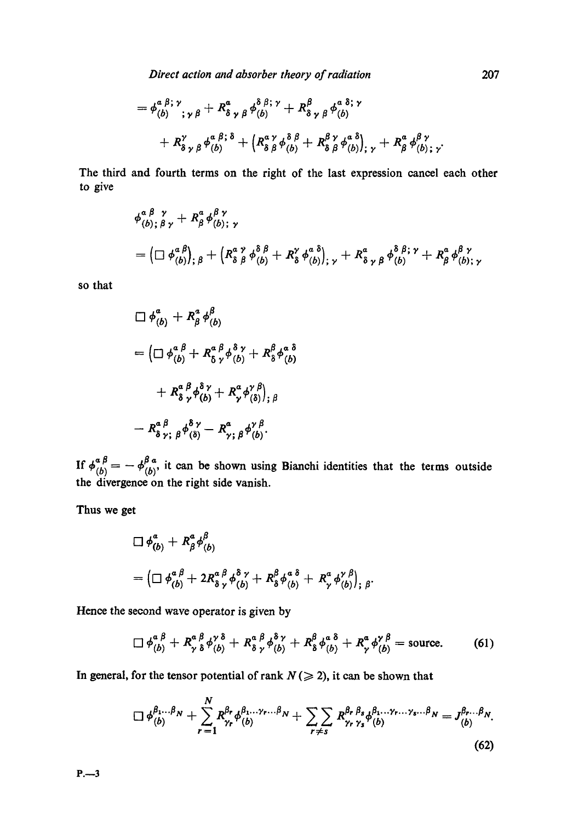*Direct action and absorber theory of radiation* 207

,h a i; ~ a ,/8/3; ~, # ,ha 8; *v-(b) ,~,fl + RSyflr(b) + R • 8 ~, fl '-(b)*  ,h=i;8 ay 8i y~=8] a i~, + "L t v-(b> + + v-(b>j; + %;,.

The third and fourth terms on the right of the last expression cancel each other to give

$$
\phi_{(b);\beta\gamma}^{\alpha\beta\gamma} + R^{\alpha}_{\beta} \phi_{(b);\gamma}^{\beta\gamma}
$$
  
=  $\left(\Box \phi_{(b)}^{\alpha\beta}\right)_{;\beta} + \left(R^{\alpha\gamma}_{\delta\beta} \phi_{(b)}^{\delta\beta} + R^{\gamma}_{\delta} \phi_{(b)}^{\alpha\delta}\right)_{;\gamma} + R^{\alpha}_{\delta\gamma\beta} \phi_{(b)}^{\delta\beta;\gamma} + R^{\alpha}_{\beta} \phi_{(b);\gamma}^{\beta\gamma}$ 

so that

$$
\Box \phi_{(b)}^a + R_\beta^a \phi_{(b)}^\beta
$$
  
= 
$$
\left( \Box \phi_{(b)}^{a \beta} + R_\delta^a \phi_{(b)}^a + R_\delta^\beta \phi_{(b)}^a \right)
$$
  
+ 
$$
R_\delta^a \phi_{(b)}^a + R_\gamma^a \phi_{(s)}^{\gamma \beta} \Big|_{;\beta}
$$
  
- 
$$
R_\delta^a \phi_{, \beta}^a \phi_{(b)}^a - R_\gamma^a \phi_{(b)}^{\gamma \beta}.
$$

If  $\phi_{(b)}^{\alpha \beta} = -\phi_{(b)}^{\beta \alpha}$ , it can be shown using Bianchi identities that the terms outside the divergence on the right side vanish.

Thus we get

$$
\square \phi_{(b)}^a + R_\beta^a \phi_{(b)}^\beta
$$
  
= 
$$
\left(\square \phi_{(b)}^{\alpha \beta} + 2R_8^{\alpha \beta} \phi_{(b)}^{\delta \gamma} + R_8^{\beta} \phi_{(b)}^{\alpha \delta} + R_\gamma^{\alpha} \phi_{(b)}^{\gamma \beta}\right)_{;\beta}.
$$

Hence the second wave operator is given by

$$
\Box \phi_{(b)}^{\alpha \beta} + R_{\gamma \delta}^{\alpha \beta} \phi_{(b)}^{\gamma \delta} + R_{\delta \gamma}^{\alpha \beta} \phi_{(b)}^{\delta \gamma} + R_{\delta}^{\beta} \phi_{(b)}^{\alpha \delta} + R_{\gamma}^{\alpha} \phi_{(b)}^{\gamma \beta} = \text{source.}
$$
 (61)

In general, for the tensor potential of rank  $N \gg 2$ ), it can be shown that

$$
\Box \phi_{(b)}^{\beta_1...\beta_N} + \sum_{r=1}^N R_{\gamma_r}^{\beta_r} \phi_{(b)}^{\beta_1...\gamma_r...\beta_N} + \sum_{r \neq s} \sum_{\gamma_r} R_{\gamma_r}^{\beta_r} \phi_{s}^{\beta_1...\gamma_r...\gamma_s...\beta_N} = J_{(b)}^{\beta_r...\beta_N}.
$$
\n(62)

P.~3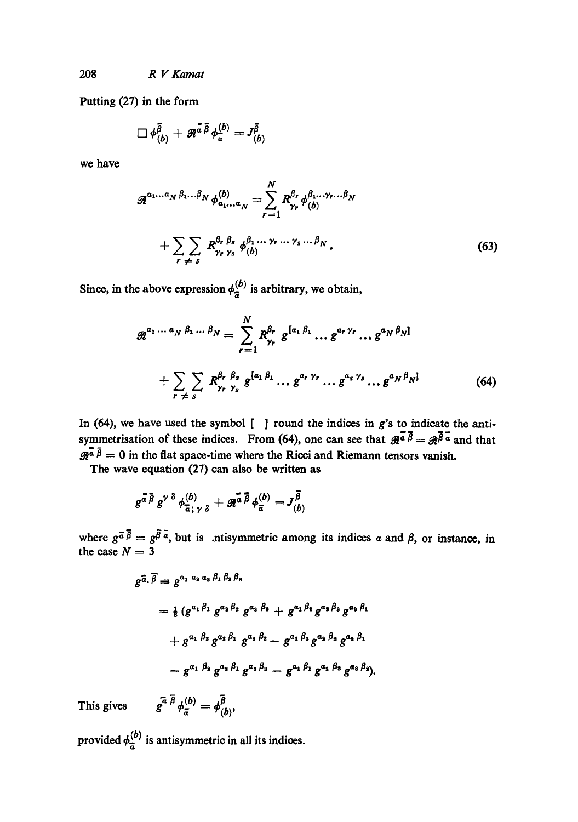Putting (27) in the form

$$
\Box \phi^{\bar{\beta}}_{(b)} + \mathscr{R}^{\bar{a}\,\bar{\beta}} \phi^{(b)}_{\bar{a}} = J^{\bar{\beta}}_{(b)}
$$

we have

$$
\mathcal{R}^{a_1...a_N \beta_1... \beta_N} \phi^{(b)}_{a_1...a_N} = \sum_{r=1}^N R_{\gamma_r}^{\beta_r} \phi^{a_1... \gamma_r... \beta_N}_{(b)}
$$
  
+ 
$$
\sum_{r \neq s} \sum_{\gamma_r \gamma_s} R_{\gamma_r \gamma_s}^{\beta_r \beta_s} \phi^{a_1... \gamma_r ... \gamma_s... \beta_N}_{(b)}.
$$
 (63)

Since, in the above expression  $\phi_{\overline{a}}^{(b)}$  is arbitrary, we obtain,

$$
\mathcal{R}^{a_1 \cdots a_N \beta_1 \cdots \beta_N} = \sum_{r=1}^N R_{\gamma_r}^{\beta_r} g^{[a_1 \beta_1} \cdots g^{a_r \gamma_r} \cdots g^{a_N \beta_N]}
$$
  
+ 
$$
\sum_{r \neq s} \sum_{r \gamma_r} R_{\gamma_r}^{\beta_r} \beta_s g^{[a_1 \beta_1} \cdots g^{a_r \gamma_r} \cdots g^{a_s \gamma_s} \cdots g^{a_N \beta_N]}
$$
(64)

In (64), we have used the symbol  $\lbrack \quad \rbrack$  round the indices in g's to indicate the antisymmetrisation of these indices. From (64), one can see that  $\mathcal{R}^{\overline{a}}{}^{\overline{\beta}} = \mathcal{R}^{\overline{\beta}}{}^{\overline{a}}$  and that  $\mathscr{R}^{\bar{a}}\bar{\beta}=0$  in the flat space-time where the Ricci and Riemann tensors vanish.

The wave equation (27) can also be written as

$$
g^{\bar{a}\bar{\beta}}g^{\gamma\delta}\phi^{(b)}_{\bar{a};\gamma\delta}+g^{\bar{a}\bar{\beta}}_{\bar{a}\bar{\beta}}\phi^{(b)}_{\bar{a}}=J^{\bar{\beta}}_{(b)}
$$

where  $g^{\bar{a}}\beta = g^{\beta} a$ , but is intisymmetric among its indices a and  $\beta$ , or instance, in the case  $N = 3$ 

$$
g^{\overline{a}, \overline{\beta}} \equiv g^{a_1 a_3 a_3 \beta_1 \beta_2 \beta_3}
$$
  
=  $\frac{1}{6} (g^{a_1 \beta_1} g^{a_3 \beta_2} g^{a_3 \beta_3} + g^{a_1 \beta_3} g^{a_3 \beta_3} g^{a_3 \beta_1}$   
+  $g^{a_1 \beta_3} g^{a_2 \beta_1} g^{a_3 \beta_2} - g^{a_1 \beta_3} g^{a_2 \beta_2} g^{a_3 \beta_1}$   
-  $g^{a_1 \beta_3} g^{a_1 \beta_1} g^{a_3 \beta_3} - g^{a_1 \beta_1} g^{a_2 \beta_3} g^{a_3 \beta_1}.$ 

This gives 
$$
g^{\bar{a}} \bar{\beta} \phi_{\bar{a}}^{(b)} = \phi_{(b)}^{\bar{\beta}}
$$
,

provided  $\phi_{\overline{a}}^{(b)}$  is antisymmetric in all its indices.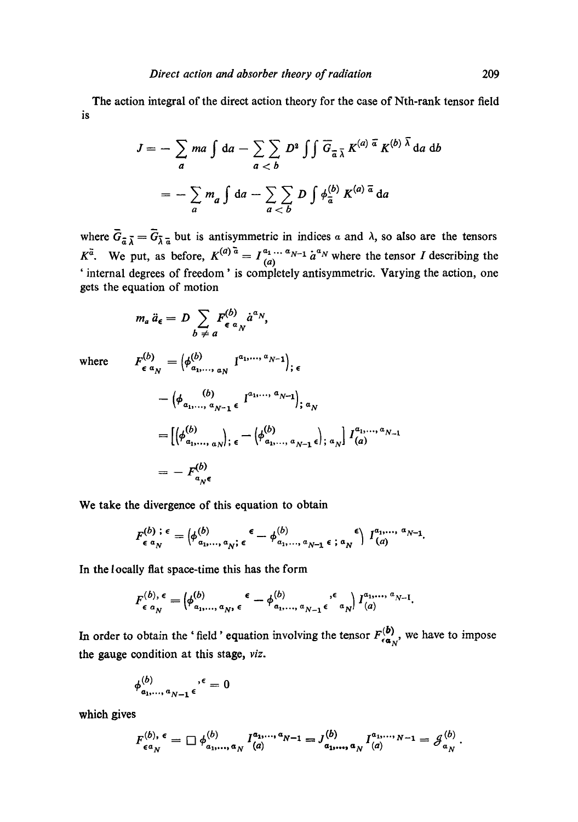The action integral of the direct action theory for the case of Nth-rank tensor field is

$$
J = -\sum_{a} ma \int da - \sum_{a < b} D^2 \int \int \overline{G}_{\overline{a}} \overline{\lambda} K^{(a) \overline{a}} K^{(b) \overline{\lambda}} da db
$$

$$
= -\sum_{a} m_a \int da - \sum_{a < b} D \int \phi_{\overline{a}}^{(b)} K^{(a) \overline{a}} da
$$

where  $G_{\overline{a}} \overline{\zeta} = G_{\overline{b}} \overline{\zeta}$  but is antisymmetric in indices a and  $\lambda$ , so also are the tensors  $K^a$ . We put, as before,  $K^{(a)} = I_{(a)}^{a_1} \cdots I_{a-1}^{a_n} a^{a}$  where the tensor I describing the ' internal degrees of freedom' is completely antisymmetric. Varying the action, one gets the equation of motion

$$
m_a \ddot{a}_{\epsilon} = D \sum_{b \neq a} F_{\epsilon}^{(b)} \dot{a}^{a} N,
$$

where  $F_{\epsilon a}^{(b)}$ 

$$
\begin{aligned}\n(b) &= \left(\phi_{a_1,\ldots,a_N}^{(b)} \quad I^{a_1,\ldots,a_{N-1}}\right)_{;\,\epsilon} \\
&= \left(\phi_{a_1,\ldots,a_{N-1}} \epsilon \quad I^{a_1,\ldots,a_{N-1}}\right)_{;\,a_N} \\
&= \left[\left(\phi_{a_1,\ldots,a_N}^{(b)}\right)_{;\,\epsilon} - \left(\phi_{a_1,\ldots,a_{N-1}}^{(b)} \epsilon\right)_{;\,a_N}\right] I^{a_1,\ldots,a_{N-1}}_{(a)} \\
&= -F^{(b)}_{a_N \epsilon}\n\end{aligned}
$$

**We take** the divergence of this equation to obtain

$$
F_{\epsilon}^{(b)}; \epsilon = \left(\phi_{a_1,\ldots,a_N}^{(b)}; \epsilon - \phi_{a_1,\ldots,a_{N-1}}^{(b)}; \epsilon; a_N\right) I_{(a)}^{a_1,\ldots,a_{N-1}}.
$$

In the locally fiat space-time this has the form

$$
F_{\epsilon}^{(b),\epsilon} = \left( \phi_{a_1,\ldots,a_N,\epsilon}^{(b)}, \epsilon - \phi_{a_1,\ldots,a_{N-1}}^{(b)}, \epsilon \atop a_1,\ldots,a_{N-1,\epsilon} \epsilon \right) I_{(a)}^{a_1,\ldots,a_{N-1}}.
$$

In order to obtain the 'field' equation involving the tensor  $F_{\epsilon \alpha_N}^{(b)}$ , we have to impose the gauge condition at this stage, *viz.* 

$$
\phi_{a_1,\ldots,a_{N-1}}^{(b)} \epsilon^{,\epsilon} = 0
$$

which gives

$$
F_{\epsilon a_N}^{(b),\epsilon} = \Box \phi_{a_1,...,a_N}^{(b)} I_{(a)}^{a_1,...,a_{N-1}} = J_{a_1,...,a_N}^{(b)} I_{(a)}^{a_1,...,a_{N-1}} = \mathcal{J}_{a_N}^{(b)}.
$$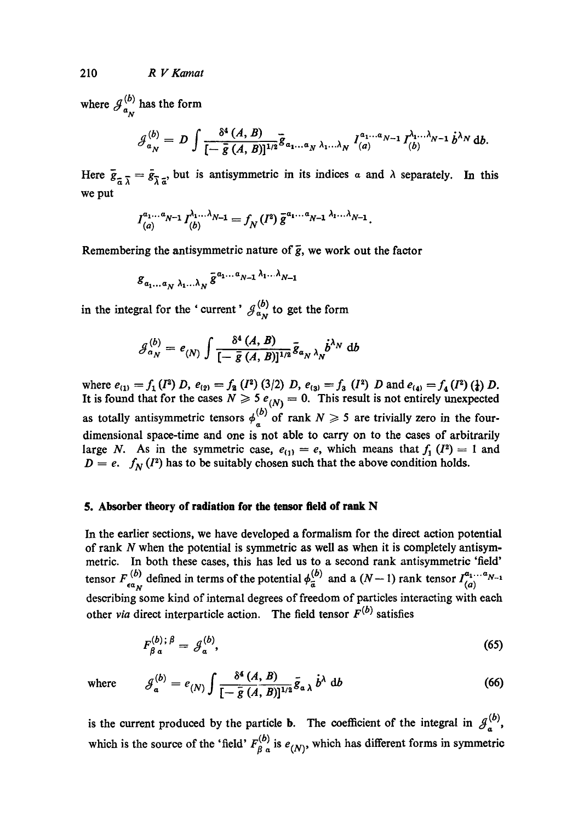where  $\mathcal{J}_{n}^{\nu}$  has the form  $a_N$ 

$$
\mathcal{J}_{a_N}^{(b)}=D\int\frac{\delta^4\left(A,\,B\right)}{[-\,\bar{g}\left(A,\,B\right)]^{1/2}}\bar{g}_{a_1\ldots a_N\,\lambda_1\ldots\lambda_N}\,I_{(a)}^{a_1\ldots a_{N-1}}\,I_{(b)}^{\lambda_1\ldots\lambda_{N-1}}\,\dot{b}^{\lambda_N}\,\mathrm{d}b.
$$

Here  $\bar{g}_{z\bar{\lambda}} = \bar{g}_{\bar{\lambda} z}$  but is antisymmetric in its indices a and  $\lambda$  separately. In this we put

$$
I_{(a)}^{a_1...a_{N-1}}I_{(b)}^{\lambda_1...\lambda_{N-1}}=f_N(I^2)\overline{g}^{a_1...a_{N-1}}\overline{a_1...\lambda_{N-1}}.
$$

Remembering the antisymmetric nature of  $\bar{g}$ , we work out the factor

$$
g_{a_1...a_N \lambda_1...\lambda_N} \bar{g}^{a_1...a_{N-1} \lambda_1...\lambda_{N-1}}
$$

in the integral for the ' current'  $\mathcal{J}_{\alpha_N}^{(b)}$  to get the form

$$
\mathcal{J}_{\alpha_N}^{(b)} = e_{(N)} \int \frac{\delta^4 (A, B)}{[-\overline{g}(A, B)]^{1/2}} \overline{g}_{\alpha_N \lambda_N} \dot{b}^{\lambda_N} db
$$

where  $e_{(1)} = f_1(I^2) D$ ,  $e_{(2)} = f_2(I^2) (3/2) D$ ,  $e_{(3)} = f_3(I^2) D$  and  $e_{(4)} = f_4(I^2) (f_2) D$ . It is found that for the cases  $N \geq 5$   $e_{(N)} = 0$ . This result is not entirely unexpected as totally antisymmetric tensors  $\phi_a^{(b)}$  of rank  $N \geq 5$  are trivially zero in the fourdimensional space-time and one is not able to carry on to the cases of arbitrarily large N. As in the symmetric case,  $e_{(1)} = e$ , which means that  $f_1$  ( $I^2$ ) = 1 and  $D = e$ .  $f_N(I^2)$  has to be suitably chosen such that the above condition holds.

### **5. Absorber theory of radiation for the tensor field of rank N**

In the earlier sections, we have developed a formalism for the direct action potential of rank N when the potential is symmetric as well as when it is completely antisymmetric. In both these cases, this has led us to a second rank antisymmetric 'field' tensor  $F_{\epsilon a}^{(b)}$  defined in terms of the potential  $\phi_{\bar{a}}^{(b)}$  and a  $(N-1)$  rank tensor  $\Gamma_{(a)}^{(1)}$ describing some kind of internal degrees of freedom of particles interacting with each other *via* direct interparticle action. The field tensor  $F<sup>(b)</sup>$  satisfies

$$
F_{\beta\,a}^{(b);\,\beta} = \mathcal{J}_a^{(b)},\tag{65}
$$

where 
$$
\mathcal{J}_{a}^{(b)} = e_{(N)} \int \frac{\delta^{4} (A, B)}{[-\bar{g} (A, B)]^{1/2}} \bar{g}_{a \lambda} \dot{b}^{\lambda} db
$$
 (66)

is the current produced by the particle **b**. The coefficient of the integral in  $\mathcal{J}_a^{(b)}$ , which is the source of the 'field'  $F_{\beta}^{(b)}$  is  $e_{(N)}$ , which has different forms in symmetric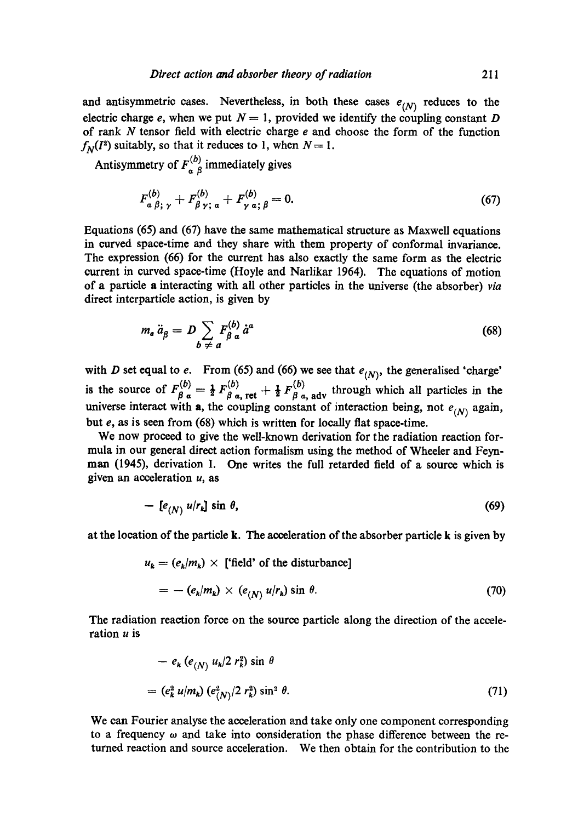and antisymmetric cases. Nevertheless, in both these cases  $e_{(N)}$  reduces to the electric charge e, when we put  $N = 1$ , provided we identify the coupling constant D of rank  $N$  tensor field with electric charge  $e$  and choose the form of the function  $f_N(I^2)$  suitably, so that it reduces to 1, when  $N=1$ .

Antisymmetry of  $F_{a}^{(b)}$  immediately gives

$$
F_{a \beta; \gamma}^{(b)} + F_{\beta \gamma; a}^{(b)} + F_{\gamma a; \beta}^{(b)} = 0.
$$
 (67)

Equations (65) and (67) have the same mathematical structure as Maxwell equations in curved space-time and they share with them property of conformal invariance. The expression (66) for the current has also exactly the same form as the electric current in curved space-time (Hoyle and Narlikar 1964). The equations of motion of a particle a interacting with all other particles in the universe (the absorber) *via*  direct interpaxticle action, is given by

$$
m_a \ddot{a}_{\beta} = D \sum_{b \neq a} F_{\beta}^{(b)} \dot{a}^a \tag{68}
$$

with D set equal to e. From (65) and (66) we see that  $e_{(N)}$ , the generalised 'charge' is the source of  $F_{\beta,q}^{(0)} = \frac{1}{2} F_{\beta,q,\text{ret}}^{(0)} + \frac{1}{2} F_{\beta,q,\text{adv}}^{(0)}$  through which all particles in the universe interact with a, the coupling constant of interaction being, not  $e_{(N)}$  again, but e, as is seen from (68) which is written for locally flat space-time.

We now proceed to give the well-known derivation for the radiation reaction formula in our general direct action formalism using the method of Wheeler and Feynman (1945), derivation I. One writes the full retarded field of a source which is given an acceleration  $u$ , as

$$
-\left[e_{(N)} u/r_{k}\right] \sin \theta, \tag{69}
$$

at the location of the particle k. The acceleration of the absorber particle k is given by

$$
u_k = (e_k/m_k) \times \text{['field' of the disturbance]}
$$
  
=  $-(e_k/m_k) \times (e_{(N)} u/r_k) \sin \theta.$  (70)

The radiation reaction force on the source particle along the direction of the acceleration  $u$  is

$$
- e_k (e_{(N)} u_k / 2 r_k^2) \sin \theta
$$
  
= 
$$
(e_k^2 u/m_k) (e_{(N)}^2 / 2 r_k^2) \sin^2 \theta.
$$
 (71)

We can Fourier analyse the acceleration and take only one component corresponding to a frequency  $\omega$  and take into consideration the phase difference between the returned reaction and source acceleration. We then obtain for the contribution to the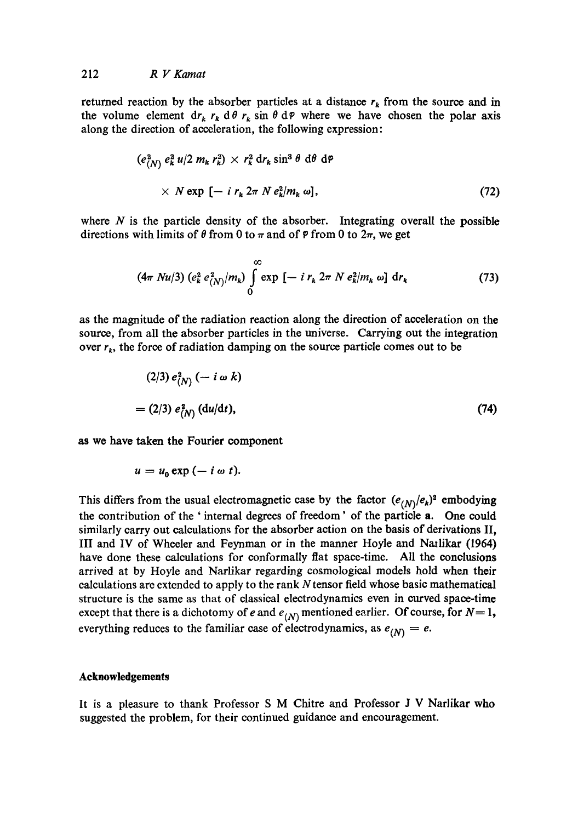returned reaction by the absorber particles at a distance  $r_k$  from the source and in the volume element dr<sub>k</sub>  $r_k$  d $\theta$   $r_k$  sin  $\theta$  d $\varphi$  where we have chosen the polar axis along the direction of acceleration, the following expression:

$$
(e_{(N)}^2 e_k^2 u/2 m_k r_k^2) \times r_k^2 dr_k \sin^3 \theta \ d\theta \ d\phi
$$
  
×  $N \exp \left[ - i r_k 2 \pi N e_k^2 / m_k \omega \right],$  (72)

where  $N$  is the particle density of the absorber. Integrating overall the possible directions with limits of  $\theta$  from 0 to  $\pi$  and of  $\varphi$  from 0 to  $2\pi$ , we get

$$
(4\pi Nu/3) (e_k^2 e_{(N)}^2/m_k) \int\limits_0^\infty \exp\left[-i\,r_k\,2\pi\,N\,e_k^2/m_k\,\omega\right]\,\mathrm{d}r_k \tag{73}
$$

as the magnitude of the radiation reaction along the direction of acceleration on the source, from all the absorber particles in the universe. Carrying out the integration over  $r_k$ , the force of radiation damping on the source particle comes out to be

$$
(2/3) e^2(N) \quad (-i \omega k)
$$
  
= (2/3) e<sup>2</sup>(N)  $(du/dt)$ , (74)

**as** we have taken the Fourier component

$$
u=u_0\exp{(-i\omega t)}.
$$

This differs from the usual electromagnetic case by the factor  $(e_{(N)}/e_k)^2$  embodying the contribution of the ' internal degrees of freedom' of the particle a. One could similarly carry out calculations for the absorber action on the basis of derivations II, III and IV of Wheeler and Feynman or in the manner Hoyle and Nazlikar (1964) have done these calculations for eonformally flat space-time. All the conclusions arrived at by Hoyle and Narlikar regarding cosmological models hold when their calculations are extended to apply to the rank Ntensor field whose basic mathematical structure is the same as that of classical electrodynamies even in curved space-time except that there is a dichotomy of *e* and  $e_{(N)}$  mentioned earlier. Of course, for  $N=1$ , everything reduces to the familiar case of electrodynamics, as  $e_{(N)} = e$ .

### **Acknowledgements**

It is a pleasure to thank Professor S M Chitre and Professor J V Narlikar who suggested the problem, for their continued guidance and encouragement.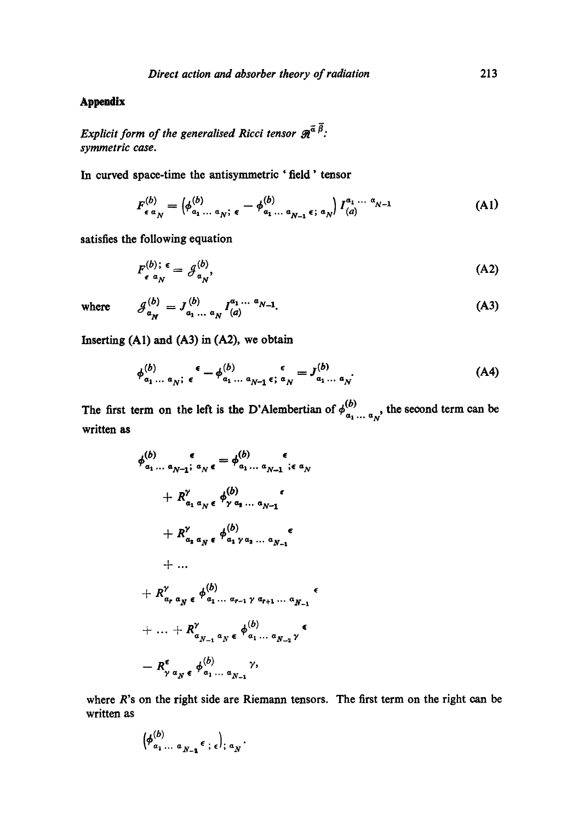## **Appendix**

*Explicit form of the generalised Ricci tensor*  $\mathcal{R}^{\bar{\alpha}}$   $\bar{\beta}$ . *symmetric case.* 

**In curved** space-time the antisymmetric 'field' tensor

$$
F_{\epsilon a_N}^{(b)} = \left(\phi_{a_1 \ldots a_N}^{(b)}, \epsilon - \phi_{a_1 \ldots a_{N-1}}^{(b)}, \epsilon, a_N\right) I_{(a)}^{a_1 \ldots a_{N-1}} \tag{A1}
$$

satisfies the following equation

$$
F_{\epsilon}^{(b);\ \epsilon} = \mathcal{J}_{a_N}^{(b)},\tag{A2}
$$

where 
$$
\mathcal{J}_{a_N}^{(b)} = J_{a_1 ... a_N}^{(b)} I_{(a)}^{a_1 ... a_{N-1}}.
$$
 (A3)

Inserting  $(A1)$  and  $(A3)$  in  $(A2)$ , we obtain

$$
\phi_{a_1 \ldots a_N; \epsilon}^{(b)} \epsilon - \phi_{a_1 \ldots a_{N-1} \epsilon; \alpha_N}^{(b)} = J_{a_1 \ldots a_N}^{(b)}.
$$
 (A4)

The first term on the left is the D'Alembertian of  $\phi_{\alpha_1... \alpha_N}^{(b)}$ , the second term can be written as

$$
\phi_{a_1...a_{N-1}}^{(b)} \circ \phi_{a_1...a_{N-1}}^{(b)} \circ \phi_{a_1...a_{N-1}}^{(b)} \circ \phi_{a_1...a_{N-1}}^{(b)} \circ \phi_{a_1...a_{N-1}}^{(b)}
$$
\n
$$
+ R_{a_1 a_N \epsilon}^{\gamma} \phi_{a_1 a_N a_{N-1}}^{(b)} \circ \phi_{a_1 a_{N-1}}^{(b)}
$$
\n
$$
+ ...
$$
\n
$$
+ R_{a_r a_N \epsilon}^{\gamma} \phi_{a_1...a_{r-1} a_{N+1}...a_{N-1}}^{(b)}
$$
\n
$$
+ ... + R_{a_{N-1} a_N \epsilon}^{\gamma} \phi_{a_1...a_{N-2}}^{(b)}
$$
\n
$$
- R_{\gamma a_N \epsilon}^{\epsilon} \phi_{a_1...a_{N-1}}^{(b)}
$$

where R's on the right side are Riemann tensors. The first term on the right can be written as

$$
\left(\phi_{a_1 \ldots a_{N-1}}^{(b)} \epsilon \, ; \, \epsilon\right); a_N.
$$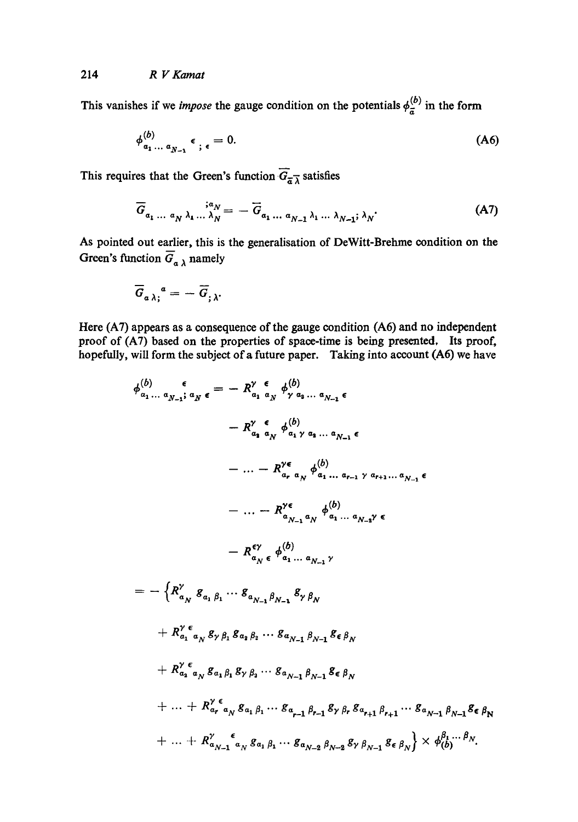This vanishes if we *impose* the gauge condition on the potentials  $\phi_{\overline{a}}^{(b)}$  in the form

$$
\phi_{a_1 \ldots a_{N-1}}^{(b)} \epsilon_{; \epsilon} = 0. \tag{A6}
$$

This requires that the Green's function  $\overline{G}_{\overline{\alpha}}\overline{\lambda}$  satisfies

$$
\overline{G}_{a_1 \ldots a_N \lambda_1 \ldots \lambda_N} = -\overline{G}_{a_1 \ldots a_{N-1} \lambda_1 \ldots \lambda_{N-1}; \lambda_N}.
$$
 (A7)

As pointed out earlier, this is the generalisation of DeWitt-Brehme condition on the Green's function  $\overline{G}_a{}_\lambda$  namely

$$
\overline{G}_{a\,\lambda\,;\,}^{\ \ a}=-\,\overline{G}_{;\,\lambda}.
$$

Here (A7) appears as a consequence of the gauge condition (A6) and no independent proof of (A7) based on the properties of space-time is being presented. Its proof, hopefully, will form the subject of a future paper. Taking into account (A6) we have

$$
\phi_{a_1...a_{N-1}}^{(b)} \epsilon = -R_{a_1 a_N}^{\gamma} \epsilon_{\gamma} \phi_{\gamma a_3...a_{N-1}}^{(b)} \epsilon
$$
\n
$$
-R_{a_1 a_N}^{\gamma} \phi_{a_1 \gamma a_3...a_{N-1}}^{(b)} \epsilon
$$
\n
$$
-... - R_{a_r a_N}^{\gamma \epsilon} \phi_{a_1...a_{r-1}}^{(b)} \gamma a_{r+1}...a_{N-1} \epsilon
$$
\n
$$
-... - R_{a_{N-1} a_N}^{\gamma \epsilon} \phi_{a_1...a_{N-1}}^{(b)} \epsilon
$$
\n
$$
-R_{a_{N}}^{\epsilon \gamma} \phi_{a_1...a_{N-1}}^{(b)}
$$
\n
$$
= -\left\{R_{a_N}^{\gamma} g_{a_1 \beta_1} \cdots g_{a_{N-1} \beta_{N-1}} g_{\gamma} g_{\gamma} \right\}
$$
\n
$$
+ R_{a_1 a_N}^{\gamma} g_{\gamma} g_1 g_{a_2 \beta_2} \cdots g_{a_{N-1} \beta_{N-1}} g_{\epsilon} g_{\gamma}
$$
\n
$$
+ R_{a_2 a_N}^{\gamma \epsilon} g_{\gamma} g_{a_1 \beta_1} g_{\gamma} g_{a_2} \cdots g_{a_{N-1} \beta_{N-1}} g_{\epsilon} g_{\gamma}
$$
\n
$$
+... + R_{a_r a_N}^{\gamma \epsilon} g_{a_1 \beta_1} g_{\gamma} g_{a_2} \cdots g_{a_{N-1} \beta_{N-1}} g_{\gamma} g_{\gamma} g_{a_{r+1} \beta_{r+1}} \cdots g_{a_{N-1} \beta_{N-1}} g_{\epsilon} g_{\gamma}
$$
\n
$$
+... + R_{a_{N-1} a_N}^{\gamma} g_{a_1 \beta_1} \cdots g_{a_{N-2} a_{N-2} a_{N-2}} g_{\gamma} g_{\gamma-1} g_{\epsilon} g_{\gamma} \right\} \times \phi_{(b)}^{\beta_1... \beta_N}.
$$